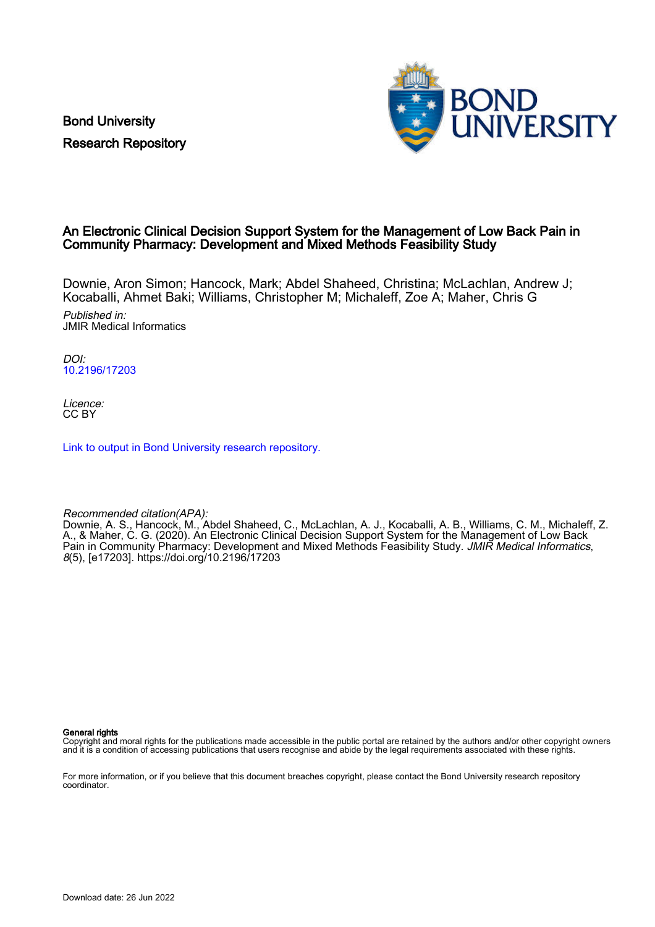Bond University Research Repository



### An Electronic Clinical Decision Support System for the Management of Low Back Pain in Community Pharmacy: Development and Mixed Methods Feasibility Study

Downie, Aron Simon; Hancock, Mark; Abdel Shaheed, Christina; McLachlan, Andrew J; Kocaballi, Ahmet Baki; Williams, Christopher M; Michaleff, Zoe A; Maher, Chris G

Published in: JMIR Medical Informatics

DOI: [10.2196/17203](https://doi.org/10.2196/17203)

Licence: CC BY

[Link to output in Bond University research repository.](https://research.bond.edu.au/en/publications/b8b21b3b-a638-4300-93f1-ee1d6776ac56)

Recommended citation(APA):

Downie, A. S., Hancock, M., Abdel Shaheed, C., McLachlan, A. J., Kocaballi, A. B., Williams, C. M., Michaleff, Z. A., & Maher, C. G. (2020). An Electronic Clinical Decision Support System for the Management of Low Back Pain in Community Pharmacy: Development and Mixed Methods Feasibility Study. JMIR Medical Informatics, 8(5), [e17203]. <https://doi.org/10.2196/17203>

General rights

Copyright and moral rights for the publications made accessible in the public portal are retained by the authors and/or other copyright owners and it is a condition of accessing publications that users recognise and abide by the legal requirements associated with these rights.

For more information, or if you believe that this document breaches copyright, please contact the Bond University research repository coordinator.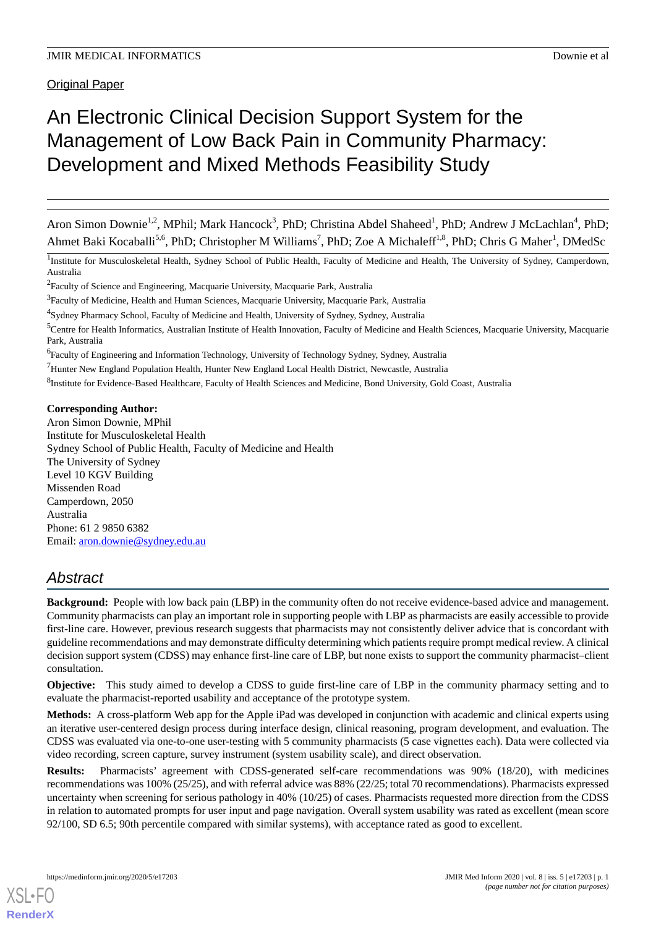Original Paper

# An Electronic Clinical Decision Support System for the Management of Low Back Pain in Community Pharmacy: Development and Mixed Methods Feasibility Study

Aron Simon Downie<sup>1,2</sup>, MPhil; Mark Hancock<sup>3</sup>, PhD; Christina Abdel Shaheed<sup>1</sup>, PhD; Andrew J McLachlan<sup>4</sup>, PhD; Ahmet Baki Kocaballi<sup>5,6</sup>, PhD; Christopher M Williams<sup>7</sup>, PhD; Zoe A Michaleff<sup>1,8</sup>, PhD; Chris G Maher<sup>1</sup>, DMedSc

<sup>1</sup>Institute for Musculoskeletal Health, Sydney School of Public Health, Faculty of Medicine and Health, The University of Sydney, Camperdown, Australia

<sup>2</sup> Faculty of Science and Engineering, Macquarie University, Macquarie Park, Australia

<sup>3</sup> Faculty of Medicine, Health and Human Sciences, Macquarie University, Macquarie Park, Australia

<sup>4</sup>Sydney Pharmacy School, Faculty of Medicine and Health, University of Sydney, Sydney, Australia

<sup>5</sup>Centre for Health Informatics, Australian Institute of Health Innovation, Faculty of Medicine and Health Sciences, Macquarie University, Macquarie Park, Australia

<sup>6</sup>Faculty of Engineering and Information Technology, University of Technology Sydney, Sydney, Australia

<sup>7</sup>Hunter New England Population Health, Hunter New England Local Health District, Newcastle, Australia

<sup>8</sup>Institute for Evidence-Based Healthcare, Faculty of Health Sciences and Medicine, Bond University, Gold Coast, Australia

#### **Corresponding Author:**

Aron Simon Downie, MPhil Institute for Musculoskeletal Health Sydney School of Public Health, Faculty of Medicine and Health The University of Sydney Level 10 KGV Building Missenden Road Camperdown, 2050 Australia Phone: 61 2 9850 6382 Email: [aron.downie@sydney.edu.au](mailto:aron.downie@sydney.edu.au)

## *Abstract*

**Background:** People with low back pain (LBP) in the community often do not receive evidence-based advice and management. Community pharmacists can play an important role in supporting people with LBP as pharmacists are easily accessible to provide first-line care. However, previous research suggests that pharmacists may not consistently deliver advice that is concordant with guideline recommendations and may demonstrate difficulty determining which patients require prompt medical review. A clinical decision support system (CDSS) may enhance first-line care of LBP, but none exists to support the community pharmacist–client consultation.

**Objective:** This study aimed to develop a CDSS to guide first-line care of LBP in the community pharmacy setting and to evaluate the pharmacist-reported usability and acceptance of the prototype system.

**Methods:** A cross-platform Web app for the Apple iPad was developed in conjunction with academic and clinical experts using an iterative user-centered design process during interface design, clinical reasoning, program development, and evaluation. The CDSS was evaluated via one-to-one user-testing with 5 community pharmacists (5 case vignettes each). Data were collected via video recording, screen capture, survey instrument (system usability scale), and direct observation.

**Results:** Pharmacists' agreement with CDSS-generated self-care recommendations was 90% (18/20), with medicines recommendations was 100% (25/25), and with referral advice was 88% (22/25; total 70 recommendations). Pharmacists expressed uncertainty when screening for serious pathology in 40% (10/25) of cases. Pharmacists requested more direction from the CDSS in relation to automated prompts for user input and page navigation. Overall system usability was rated as excellent (mean score 92/100, SD 6.5; 90th percentile compared with similar systems), with acceptance rated as good to excellent.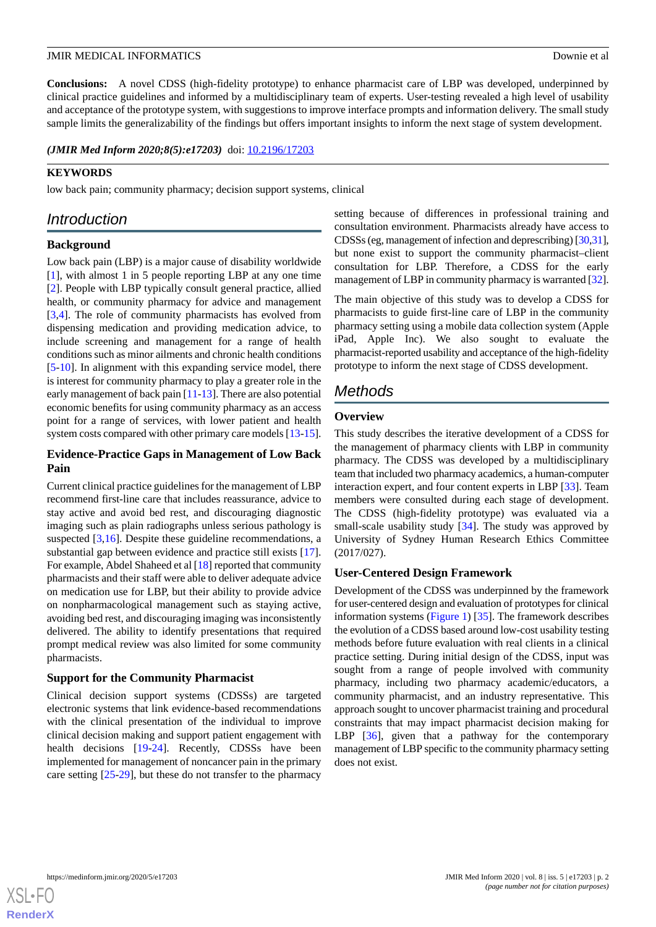**Conclusions:** A novel CDSS (high-fidelity prototype) to enhance pharmacist care of LBP was developed, underpinned by clinical practice guidelines and informed by a multidisciplinary team of experts. User-testing revealed a high level of usability and acceptance of the prototype system, with suggestions to improve interface prompts and information delivery. The small study sample limits the generalizability of the findings but offers important insights to inform the next stage of system development.

(JMIR Med Inform 2020;8(5):e17203) doi: [10.2196/17203](http://dx.doi.org/10.2196/17203)

#### **KEYWORDS**

low back pain; community pharmacy; decision support systems, clinical

### *Introduction*

#### **Background**

Low back pain (LBP) is a major cause of disability worldwide [[1\]](#page-11-0), with almost 1 in 5 people reporting LBP at any one time [[2\]](#page-11-1). People with LBP typically consult general practice, allied health, or community pharmacy for advice and management [[3](#page-11-2)[,4](#page-11-3)]. The role of community pharmacists has evolved from dispensing medication and providing medication advice, to include screening and management for a range of health conditions such as minor ailments and chronic health conditions [[5](#page-11-4)[-10](#page-12-0)]. In alignment with this expanding service model, there is interest for community pharmacy to play a greater role in the early management of back pain [[11-](#page-12-1)[13\]](#page-12-2). There are also potential economic benefits for using community pharmacy as an access point for a range of services, with lower patient and health system costs compared with other primary care models [[13-](#page-12-2)[15\]](#page-12-3).

#### **Evidence-Practice Gaps in Management of Low Back Pain**

Current clinical practice guidelines for the management of LBP recommend first-line care that includes reassurance, advice to stay active and avoid bed rest, and discouraging diagnostic imaging such as plain radiographs unless serious pathology is suspected [[3,](#page-11-2)[16](#page-12-4)]. Despite these guideline recommendations, a substantial gap between evidence and practice still exists [[17\]](#page-12-5). For example, Abdel Shaheed et al [\[18](#page-12-6)] reported that community pharmacists and their staff were able to deliver adequate advice on medication use for LBP, but their ability to provide advice on nonpharmacological management such as staying active, avoiding bed rest, and discouraging imaging was inconsistently delivered. The ability to identify presentations that required prompt medical review was also limited for some community pharmacists.

#### **Support for the Community Pharmacist**

Clinical decision support systems (CDSSs) are targeted electronic systems that link evidence-based recommendations with the clinical presentation of the individual to improve clinical decision making and support patient engagement with health decisions [[19-](#page-12-7)[24\]](#page-12-8). Recently, CDSSs have been implemented for management of noncancer pain in the primary care setting  $[25-29]$  $[25-29]$  $[25-29]$  $[25-29]$ , but these do not transfer to the pharmacy

setting because of differences in professional training and consultation environment. Pharmacists already have access to CDSSs (eg, management of infection and deprescribing) [\[30](#page-13-1)[,31](#page-13-2)], but none exist to support the community pharmacist–client consultation for LBP. Therefore, a CDSS for the early management of LBP in community pharmacy is warranted [\[32](#page-13-3)].

The main objective of this study was to develop a CDSS for pharmacists to guide first-line care of LBP in the community pharmacy setting using a mobile data collection system (Apple iPad, Apple Inc). We also sought to evaluate the pharmacist-reported usability and acceptance of the high-fidelity prototype to inform the next stage of CDSS development.

### *Methods*

#### **Overview**

This study describes the iterative development of a CDSS for the management of pharmacy clients with LBP in community pharmacy. The CDSS was developed by a multidisciplinary team that included two pharmacy academics, a human-computer interaction expert, and four content experts in LBP [\[33](#page-13-4)]. Team members were consulted during each stage of development. The CDSS (high-fidelity prototype) was evaluated via a small-scale usability study [\[34](#page-13-5)]. The study was approved by University of Sydney Human Research Ethics Committee (2017/027).

#### **User-Centered Design Framework**

Development of the CDSS was underpinned by the framework for user-centered design and evaluation of prototypes for clinical information systems ([Figure 1](#page-3-0)) [\[35](#page-13-6)]. The framework describes the evolution of a CDSS based around low-cost usability testing methods before future evaluation with real clients in a clinical practice setting. During initial design of the CDSS, input was sought from a range of people involved with community pharmacy, including two pharmacy academic/educators, a community pharmacist, and an industry representative. This approach sought to uncover pharmacist training and procedural constraints that may impact pharmacist decision making for LBP [\[36](#page-13-7)], given that a pathway for the contemporary management of LBP specific to the community pharmacy setting does not exist.

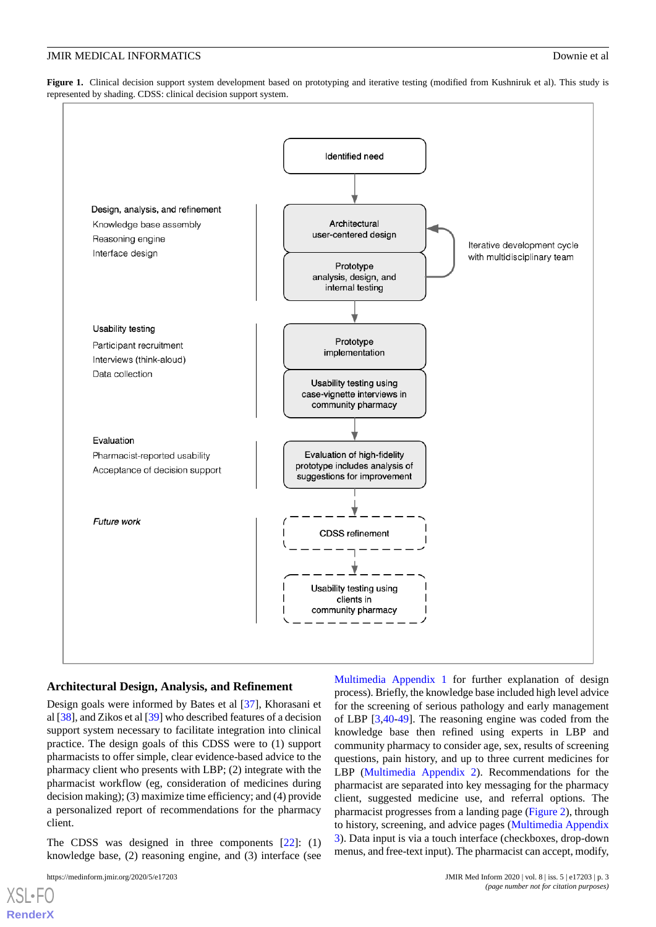<span id="page-3-0"></span>**Figure 1.** Clinical decision support system development based on prototyping and iterative testing (modified from Kushniruk et al). This study is represented by shading. CDSS: clinical decision support system.



#### **Architectural Design, Analysis, and Refinement**

Design goals were informed by Bates et al [[37\]](#page-13-8), Khorasani et al [[38\]](#page-13-9), and Zikos et al [[39\]](#page-13-10) who described features of a decision support system necessary to facilitate integration into clinical practice. The design goals of this CDSS were to (1) support pharmacists to offer simple, clear evidence-based advice to the pharmacy client who presents with LBP; (2) integrate with the pharmacist workflow (eg, consideration of medicines during decision making); (3) maximize time efficiency; and (4) provide a personalized report of recommendations for the pharmacy client.

The CDSS was designed in three components [[22\]](#page-12-10): (1) knowledge base, (2) reasoning engine, and (3) interface (see

[XSL](http://www.w3.org/Style/XSL)•FO **[RenderX](http://www.renderx.com/)**

[Multimedia Appendix 1](#page-11-5) for further explanation of design process). Briefly, the knowledge base included high level advice for the screening of serious pathology and early management of LBP [\[3](#page-11-2),[40](#page-13-11)[-49](#page-14-0)]. The reasoning engine was coded from the knowledge base then refined using experts in LBP and community pharmacy to consider age, sex, results of screening questions, pain history, and up to three current medicines for LBP ([Multimedia Appendix 2](#page-11-6)). Recommendations for the pharmacist are separated into key messaging for the pharmacy client, suggested medicine use, and referral options. The pharmacist progresses from a landing page ([Figure 2\)](#page-4-0), through to history, screening, and advice pages [\(Multimedia Appendix](#page-11-7) [3\)](#page-11-7). Data input is via a touch interface (checkboxes, drop-down menus, and free-text input). The pharmacist can accept, modify,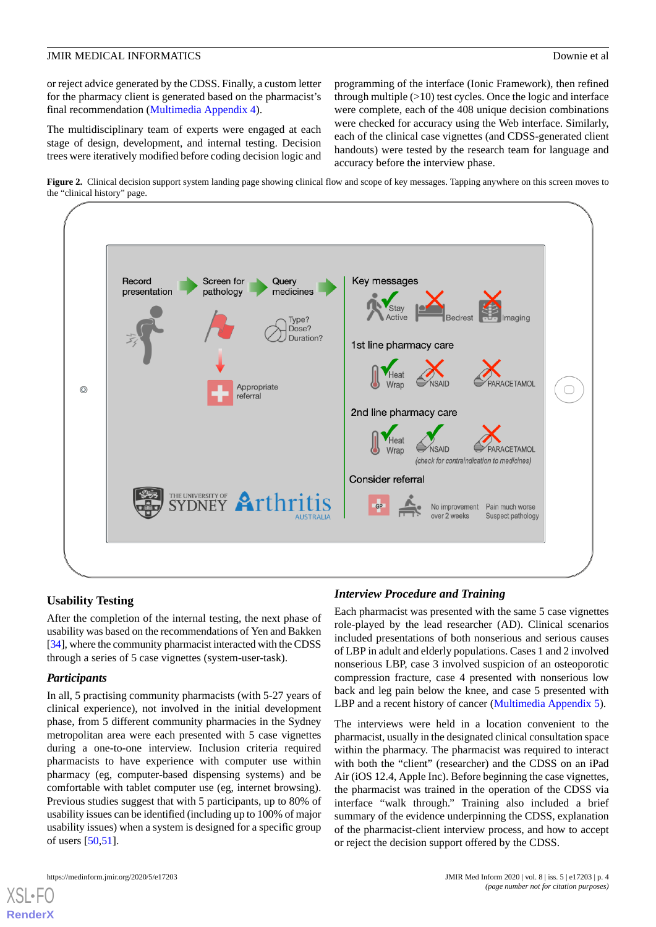or reject advice generated by the CDSS. Finally, a custom letter for the pharmacy client is generated based on the pharmacist's final recommendation [\(Multimedia Appendix 4](#page-11-8)).

The multidisciplinary team of experts were engaged at each stage of design, development, and internal testing. Decision trees were iteratively modified before coding decision logic and

programming of the interface (Ionic Framework), then refined through multiple  $(>10)$  test cycles. Once the logic and interface were complete, each of the 408 unique decision combinations were checked for accuracy using the Web interface. Similarly, each of the clinical case vignettes (and CDSS-generated client handouts) were tested by the research team for language and accuracy before the interview phase.

<span id="page-4-0"></span>**Figure 2.** Clinical decision support system landing page showing clinical flow and scope of key messages. Tapping anywhere on this screen moves to the "clinical history" page.



#### **Usability Testing**

After the completion of the internal testing, the next phase of usability was based on the recommendations of Yen and Bakken [[34\]](#page-13-5), where the community pharmacist interacted with the CDSS through a series of 5 case vignettes (system-user-task).

#### *Participants*

In all, 5 practising community pharmacists (with 5-27 years of clinical experience), not involved in the initial development phase, from 5 different community pharmacies in the Sydney metropolitan area were each presented with 5 case vignettes during a one-to-one interview. Inclusion criteria required pharmacists to have experience with computer use within pharmacy (eg, computer-based dispensing systems) and be comfortable with tablet computer use (eg, internet browsing). Previous studies suggest that with 5 participants, up to 80% of usability issues can be identified (including up to 100% of major usability issues) when a system is designed for a specific group of users [[50,](#page-14-1)[51](#page-14-2)].

#### *Interview Procedure and Training*

Each pharmacist was presented with the same 5 case vignettes role-played by the lead researcher (AD). Clinical scenarios included presentations of both nonserious and serious causes of LBP in adult and elderly populations. Cases 1 and 2 involved nonserious LBP, case 3 involved suspicion of an osteoporotic compression fracture, case 4 presented with nonserious low back and leg pain below the knee, and case 5 presented with LBP and a recent history of cancer [\(Multimedia Appendix 5](#page-11-9)).

The interviews were held in a location convenient to the pharmacist, usually in the designated clinical consultation space within the pharmacy. The pharmacist was required to interact with both the "client" (researcher) and the CDSS on an iPad Air (iOS 12.4, Apple Inc). Before beginning the case vignettes, the pharmacist was trained in the operation of the CDSS via interface "walk through." Training also included a brief summary of the evidence underpinning the CDSS, explanation of the pharmacist-client interview process, and how to accept or reject the decision support offered by the CDSS.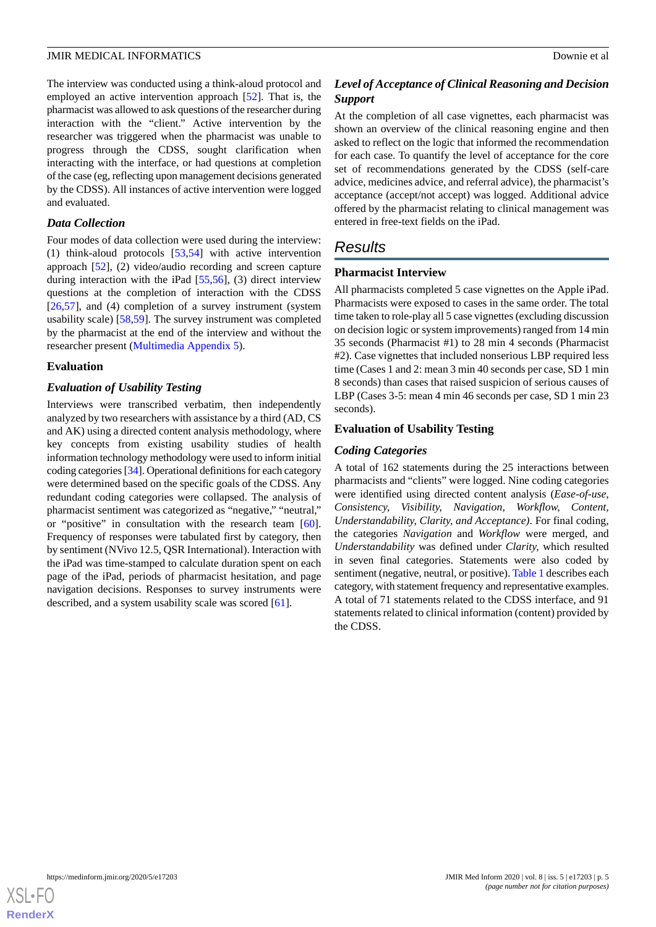The interview was conducted using a think-aloud protocol and employed an active intervention approach [[52\]](#page-14-3). That is, the pharmacist was allowed to ask questions of the researcher during interaction with the "client." Active intervention by the researcher was triggered when the pharmacist was unable to progress through the CDSS, sought clarification when interacting with the interface, or had questions at completion of the case (eg, reflecting upon management decisions generated by the CDSS). All instances of active intervention were logged and evaluated.

#### *Data Collection*

Four modes of data collection were used during the interview: (1) think-aloud protocols [[53,](#page-14-4)[54](#page-14-5)] with active intervention approach [\[52](#page-14-3)], (2) video/audio recording and screen capture during interaction with the iPad [\[55](#page-14-6),[56\]](#page-14-7), (3) direct interview questions at the completion of interaction with the CDSS [[26](#page-13-12)[,57](#page-14-8)], and (4) completion of a survey instrument (system usability scale) [[58,](#page-14-9)[59](#page-14-10)]. The survey instrument was completed by the pharmacist at the end of the interview and without the researcher present ([Multimedia Appendix 5\)](#page-11-9).

#### **Evaluation**

#### *Evaluation of Usability Testing*

Interviews were transcribed verbatim, then independently analyzed by two researchers with assistance by a third (AD, CS and AK) using a directed content analysis methodology, where key concepts from existing usability studies of health information technology methodology were used to inform initial coding categories [[34\]](#page-13-5). Operational definitions for each category were determined based on the specific goals of the CDSS. Any redundant coding categories were collapsed. The analysis of pharmacist sentiment was categorized as "negative," "neutral," or "positive" in consultation with the research team [[60\]](#page-14-11). Frequency of responses were tabulated first by category, then by sentiment (NVivo 12.5, QSR International). Interaction with the iPad was time-stamped to calculate duration spent on each page of the iPad, periods of pharmacist hesitation, and page navigation decisions. Responses to survey instruments were described, and a system usability scale was scored [\[61](#page-14-12)].

### *Level of Acceptance of Clinical Reasoning and Decision Support*

At the completion of all case vignettes, each pharmacist was shown an overview of the clinical reasoning engine and then asked to reflect on the logic that informed the recommendation for each case. To quantify the level of acceptance for the core set of recommendations generated by the CDSS (self-care advice, medicines advice, and referral advice), the pharmacist's acceptance (accept/not accept) was logged. Additional advice offered by the pharmacist relating to clinical management was entered in free-text fields on the iPad.

### *Results*

#### **Pharmacist Interview**

All pharmacists completed 5 case vignettes on the Apple iPad. Pharmacists were exposed to cases in the same order. The total time taken to role-play all 5 case vignettes (excluding discussion on decision logic or system improvements) ranged from 14 min 35 seconds (Pharmacist #1) to 28 min 4 seconds (Pharmacist #2). Case vignettes that included nonserious LBP required less time (Cases 1 and 2: mean 3 min 40 seconds per case, SD 1 min 8 seconds) than cases that raised suspicion of serious causes of LBP (Cases 3-5: mean 4 min 46 seconds per case, SD 1 min 23 seconds).

#### **Evaluation of Usability Testing**

#### *Coding Categories*

A total of 162 statements during the 25 interactions between pharmacists and "clients" were logged. Nine coding categories were identified using directed content analysis (*Ease-of-use, Consistency, Visibility, Navigation, Workflow, Content, Understandability, Clarity, and Acceptance)*. For final coding, the categories *Navigation* and *Workflow* were merged, and *Understandability* was defined under *Clarity,* which resulted in seven final categories. Statements were also coded by sentiment (negative, neutral, or positive). [Table 1](#page-6-0) describes each category, with statement frequency and representative examples. A total of 71 statements related to the CDSS interface, and 91 statements related to clinical information (content) provided by the CDSS.

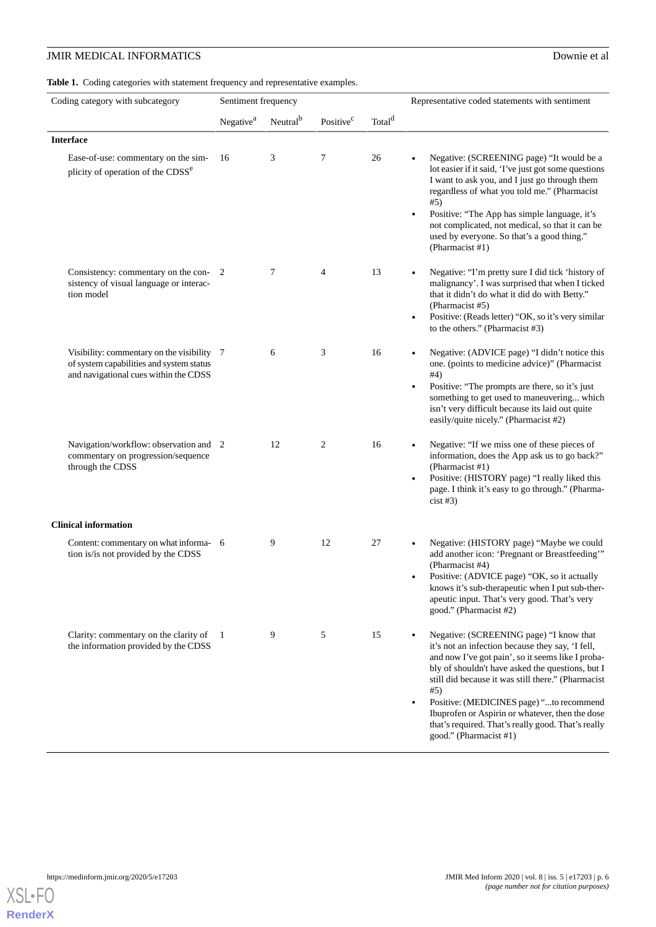<span id="page-6-0"></span>Table 1. Coding categories with statement frequency and representative examples.

| Coding category with subcategory                                                                                                | Sentiment frequency   |                      |                       |                    | Representative coded statements with sentiment                                                                                                                                                                                                                                                                                                                                                                                                                |
|---------------------------------------------------------------------------------------------------------------------------------|-----------------------|----------------------|-----------------------|--------------------|---------------------------------------------------------------------------------------------------------------------------------------------------------------------------------------------------------------------------------------------------------------------------------------------------------------------------------------------------------------------------------------------------------------------------------------------------------------|
|                                                                                                                                 | Negative <sup>a</sup> | Neutral <sup>b</sup> | Positive <sup>c</sup> | Total <sup>d</sup> |                                                                                                                                                                                                                                                                                                                                                                                                                                                               |
| <b>Interface</b>                                                                                                                |                       |                      |                       |                    |                                                                                                                                                                                                                                                                                                                                                                                                                                                               |
| Ease-of-use: commentary on the sim-<br>plicity of operation of the CDSS <sup>e</sup>                                            | 16                    | 3                    | 7                     | 26                 | Negative: (SCREENING page) "It would be a<br>lot easier if it said, 'I've just got some questions<br>I want to ask you, and I just go through them<br>regardless of what you told me." (Pharmacist<br>#5)<br>Positive: "The App has simple language, it's<br>$\bullet$<br>not complicated, not medical, so that it can be<br>used by everyone. So that's a good thing."<br>(Pharmacist #1)                                                                    |
| Consistency: commentary on the con-2<br>sistency of visual language or interac-<br>tion model                                   |                       | 7                    | 4                     | 13                 | Negative: "I'm pretty sure I did tick 'history of<br>$\bullet$<br>malignancy'. I was surprised that when I ticked<br>that it didn't do what it did do with Betty."<br>(Pharmacist #5)<br>Positive: (Reads letter) "OK, so it's very similar<br>$\bullet$<br>to the others." (Pharmacist #3)                                                                                                                                                                   |
| Visibility: commentary on the visibility 7<br>of system capabilities and system status<br>and navigational cues within the CDSS |                       | 6                    | 3                     | 16                 | Negative: (ADVICE page) "I didn't notice this<br>one. (points to medicine advice)" (Pharmacist<br>#4)<br>Positive: "The prompts are there, so it's just<br>$\bullet$<br>something to get used to maneuvering which<br>isn't very difficult because its laid out quite<br>easily/quite nicely." (Pharmacist #2)                                                                                                                                                |
| Navigation/workflow: observation and 2<br>commentary on progression/sequence<br>through the CDSS                                |                       | 12                   | 2                     | 16                 | Negative: "If we miss one of these pieces of<br>information, does the App ask us to go back?"<br>(Pharmacist #1)<br>Positive: (HISTORY page) "I really liked this<br>$\bullet$<br>page. I think it's easy to go through." (Pharma-<br>$\text{cist}\#3)$                                                                                                                                                                                                       |
| <b>Clinical information</b>                                                                                                     |                       |                      |                       |                    |                                                                                                                                                                                                                                                                                                                                                                                                                                                               |
| Content: commentary on what informa- 6<br>tion is/is not provided by the CDSS                                                   |                       | 9                    | 12                    | 27                 | Negative: (HISTORY page) "Maybe we could<br>$\bullet$<br>add another icon: 'Pregnant or Breastfeeding'"<br>(Pharmacist #4)<br>Positive: (ADVICE page) "OK, so it actually<br>٠<br>knows it's sub-therapeutic when I put sub-ther-<br>apeutic input. That's very good. That's very<br>good." (Pharmacist #2)                                                                                                                                                   |
| Clarity: commentary on the clarity of<br>the information provided by the CDSS                                                   | $\mathbf{1}$          | 9                    | 5                     | 15                 | Negative: (SCREENING page) "I know that<br>$\bullet$<br>it's not an infection because they say, 'I fell,<br>and now I've got pain', so it seems like I proba-<br>bly of shouldn't have asked the questions, but I<br>still did because it was still there." (Pharmacist<br>#5)<br>Positive: (MEDICINES page) "to recommend<br>Ibuprofen or Aspirin or whatever, then the dose<br>that's required. That's really good. That's really<br>good." (Pharmacist #1) |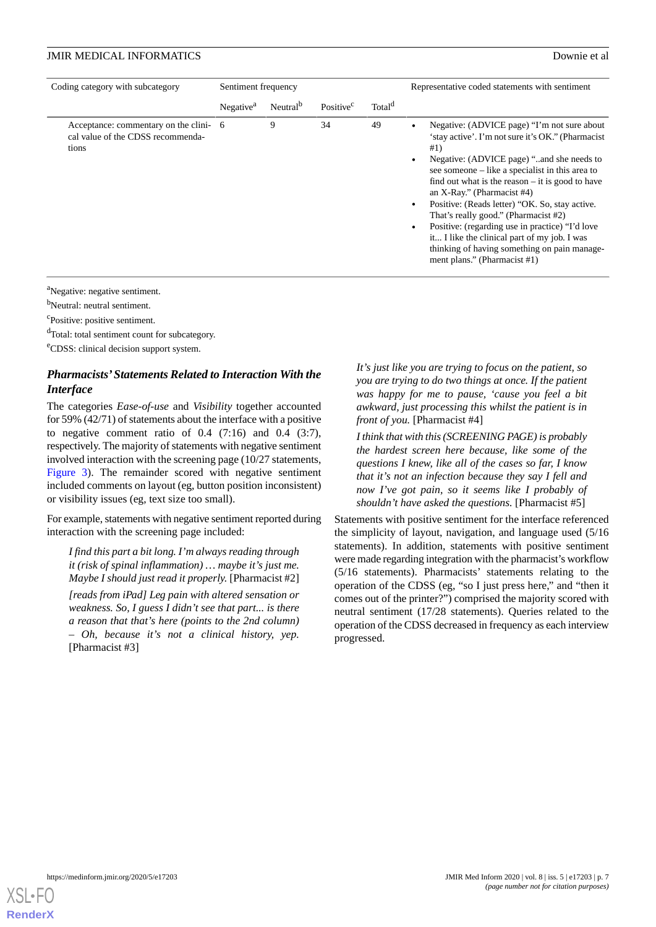| Coding category with subcategory                                                     | Sentiment frequency   |                      |                       |                    | Representative coded statements with sentiment                                                                                                                                                                                                                                                                                                                                                                                                                                                                                                                              |
|--------------------------------------------------------------------------------------|-----------------------|----------------------|-----------------------|--------------------|-----------------------------------------------------------------------------------------------------------------------------------------------------------------------------------------------------------------------------------------------------------------------------------------------------------------------------------------------------------------------------------------------------------------------------------------------------------------------------------------------------------------------------------------------------------------------------|
|                                                                                      | Negative <sup>a</sup> | Neutral <sup>b</sup> | Positive <sup>c</sup> | Total <sup>d</sup> |                                                                                                                                                                                                                                                                                                                                                                                                                                                                                                                                                                             |
| Acceptance: commentary on the clini- 6<br>cal value of the CDSS recommenda-<br>tions |                       | 9                    | 34                    | 49                 | Negative: (ADVICE page) "I'm not sure about<br>'stay active'. I'm not sure it's OK." (Pharmacist<br>#1)<br>Negative: (ADVICE page) "and she needs to<br>see someone – like a specialist in this area to<br>find out what is the reason $-$ it is good to have<br>an X-Ray." (Pharmacist $#4$ )<br>Positive: (Reads letter) "OK. So, stay active.<br>That's really good." (Pharmacist #2)<br>Positive: (regarding use in practice) "I'd love<br>it I like the clinical part of my job. I was<br>thinking of having something on pain manage-<br>ment plans." (Pharmacist #1) |

<sup>a</sup>Negative: negative sentiment.

<sup>b</sup>Neutral: neutral sentiment.

<sup>c</sup>Positive: positive sentiment.

<sup>d</sup>Total: total sentiment count for subcategory.

<sup>e</sup>CDSS: clinical decision support system.

### *Pharmacists'Statements Related to Interaction With the Interface*

The categories *Ease-of-use* and *Visibility* together accounted for 59% (42/71) of statements about the interface with a positive to negative comment ratio of  $0.4$   $(7:16)$  and  $0.4$   $(3:7)$ , respectively. The majority of statements with negative sentiment involved interaction with the screening page (10/27 statements, [Figure 3](#page-8-0)). The remainder scored with negative sentiment included comments on layout (eg, button position inconsistent) or visibility issues (eg, text size too small).

For example, statements with negative sentiment reported during interaction with the screening page included:

*I find this part a bit long. I'm always reading through it (risk of spinal inflammation) … maybe it's just me. Maybe I should just read it properly.* [Pharmacist #2]

*[reads from iPad] Leg pain with altered sensation or weakness. So, I guess I didn't see that part... is there a reason that that's here (points to the 2nd column) – Oh, because it's not a clinical history, yep.* [Pharmacist #3]

*It's just like you are trying to focus on the patient, so you are trying to do two things at once. If the patient was happy for me to pause, 'cause you feel a bit awkward, just processing this whilst the patient is in front of you.* [Pharmacist #4]

*I think that with this (SCREENING PAGE) is probably the hardest screen here because, like some of the questions I knew, like all of the cases so far, I know that it's not an infection because they say I fell and now I've got pain, so it seems like I probably of shouldn't have asked the questions.* [Pharmacist #5]

Statements with positive sentiment for the interface referenced the simplicity of layout, navigation, and language used (5/16 statements). In addition, statements with positive sentiment were made regarding integration with the pharmacist's workflow (5/16 statements). Pharmacists' statements relating to the operation of the CDSS (eg, "so I just press here," and "then it comes out of the printer?") comprised the majority scored with neutral sentiment (17/28 statements). Queries related to the operation of the CDSS decreased in frequency as each interview progressed.

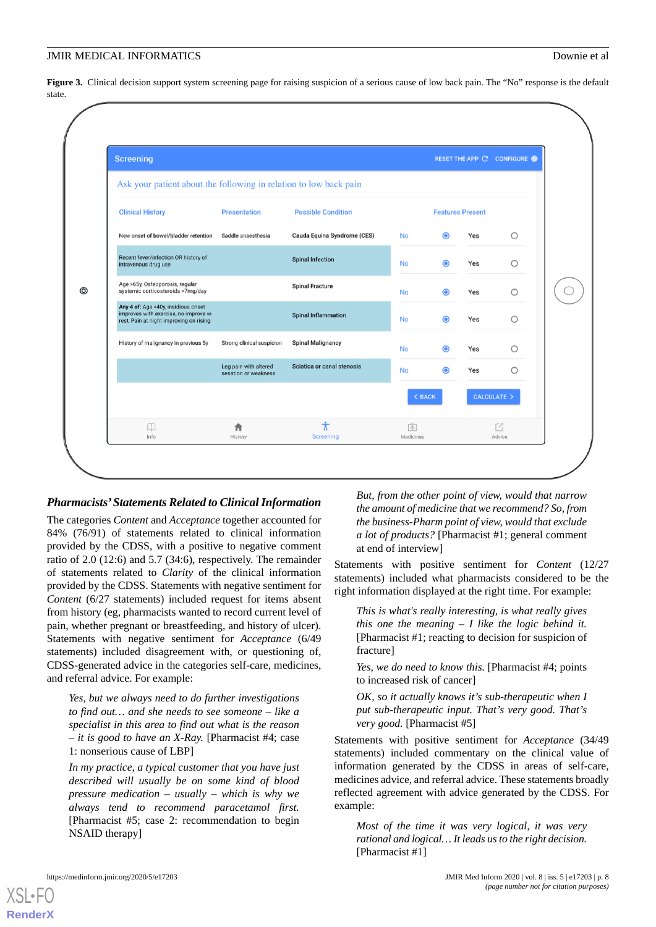<span id="page-8-0"></span>Figure 3. Clinical decision support system screening page for raising suspicion of a serious cause of low back pain. The "No" response is the default state.



#### *Pharmacists'Statements Related to Clinical Information*

The categories *Content* and *Acceptance* together accounted for 84% (76/91) of statements related to clinical information provided by the CDSS, with a positive to negative comment ratio of 2.0 (12:6) and 5.7 (34:6), respectively. The remainder of statements related to *Clarity* of the clinical information provided by the CDSS. Statements with negative sentiment for *Content* (6/27 statements) included request for items absent from history (eg, pharmacists wanted to record current level of pain, whether pregnant or breastfeeding, and history of ulcer). Statements with negative sentiment for *Acceptance* (6/49 statements) included disagreement with, or questioning of, CDSS-generated advice in the categories self-care, medicines, and referral advice. For example:

*Yes, but we always need to do further investigations to find out… and she needs to see someone – like a specialist in this area to find out what is the reason – it is good to have an X-Ray.* [Pharmacist #4; case 1: nonserious cause of LBP]

*In my practice, a typical customer that you have just described will usually be on some kind of blood pressure medication – usually – which is why we always tend to recommend paracetamol first.* [Pharmacist #5; case 2: recommendation to begin NSAID therapy]

*But, from the other point of view, would that narrow the amount of medicine that we recommend? So, from the business-Pharm point of view, would that exclude a lot of products?* [Pharmacist #1; general comment at end of interview]

Statements with positive sentiment for *Content* (12/27 statements) included what pharmacists considered to be the right information displayed at the right time. For example:

*This is what's really interesting, is what really gives this one the meaning – I like the logic behind it.* [Pharmacist #1; reacting to decision for suspicion of fracture]

*Yes, we do need to know this.* [Pharmacist #4; points to increased risk of cancer]

*OK, so it actually knows it's sub-therapeutic when I put sub-therapeutic input. That's very good. That's very good.* [Pharmacist #5]

Statements with positive sentiment for *Acceptance* (34/49 statements) included commentary on the clinical value of information generated by the CDSS in areas of self-care, medicines advice, and referral advice. These statements broadly reflected agreement with advice generated by the CDSS. For example:

*Most of the time it was very logical, it was very rational and logical… It leads us to the right decision.* [Pharmacist #1]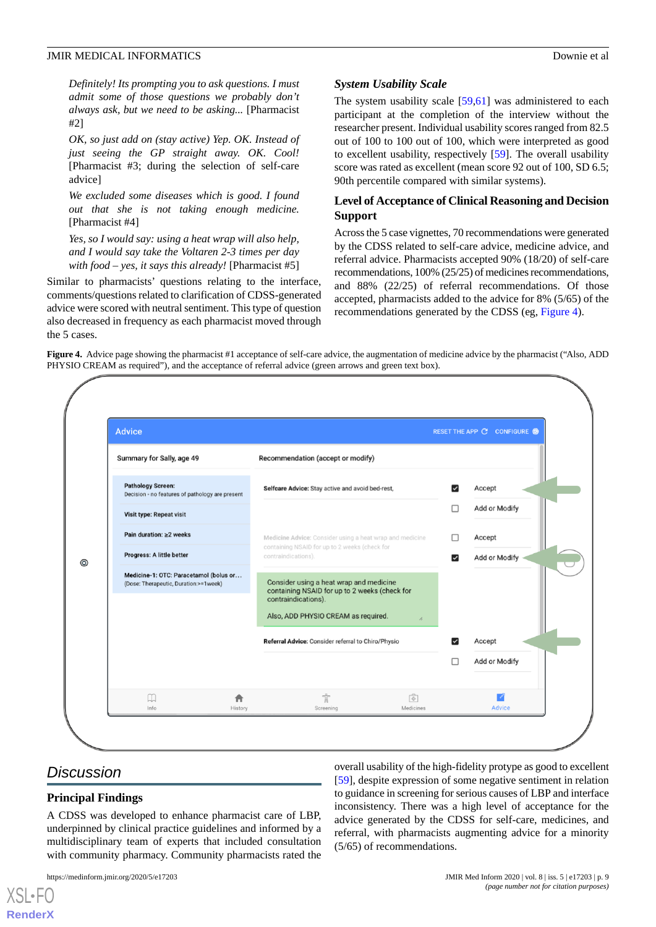*Definitely! Its prompting you to ask questions. I must admit some of those questions we probably don't always ask, but we need to be asking...* [Pharmacist #2]

*OK, so just add on (stay active) Yep. OK. Instead of just seeing the GP straight away. OK. Cool!* [Pharmacist #3; during the selection of self-care advice]

*We excluded some diseases which is good. I found out that she is not taking enough medicine.* [Pharmacist #4]

*Yes, so I would say: using a heat wrap will also help, and I would say take the Voltaren 2-3 times per day with food – yes, it says this already!* [Pharmacist #5]

Similar to pharmacists' questions relating to the interface, comments/questions related to clarification of CDSS-generated advice were scored with neutral sentiment. This type of question also decreased in frequency as each pharmacist moved through the 5 cases.

#### *System Usability Scale*

The system usability scale  $[59,61]$  $[59,61]$  $[59,61]$  was administered to each participant at the completion of the interview without the researcher present. Individual usability scores ranged from 82.5 out of 100 to 100 out of 100, which were interpreted as good to excellent usability, respectively [[59\]](#page-14-10). The overall usability score was rated as excellent (mean score 92 out of 100, SD 6.5; 90th percentile compared with similar systems).

#### **Level of Acceptance of Clinical Reasoning and Decision Support**

Across the 5 case vignettes, 70 recommendations were generated by the CDSS related to self-care advice, medicine advice, and referral advice. Pharmacists accepted 90% (18/20) of self-care recommendations, 100% (25/25) of medicines recommendations, and 88% (22/25) of referral recommendations. Of those accepted, pharmacists added to the advice for 8% (5/65) of the recommendations generated by the CDSS (eg, [Figure 4\)](#page-9-0).

<span id="page-9-0"></span>**Figure 4.** Advice page showing the pharmacist #1 acceptance of self-care advice, the augmentation of medicine advice by the pharmacist ("Also, ADD PHYSIO CREAM as required"), and the acceptance of referral advice (green arrows and green text box).



### *Discussion*

[XSL](http://www.w3.org/Style/XSL)•FO **[RenderX](http://www.renderx.com/)**

#### **Principal Findings**

A CDSS was developed to enhance pharmacist care of LBP, underpinned by clinical practice guidelines and informed by a multidisciplinary team of experts that included consultation with community pharmacy. Community pharmacists rated the

https://medinform.jmir.org/2020/5/e17203 JMIR Med Inform 2020 | vol. 8 | iss. 5 | e17203 | p. 9

[[59\]](#page-14-10), despite expression of some negative sentiment in relation to guidance in screening for serious causes of LBP and interface inconsistency. There was a high level of acceptance for the advice generated by the CDSS for self-care, medicines, and referral, with pharmacists augmenting advice for a minority (5/65) of recommendations.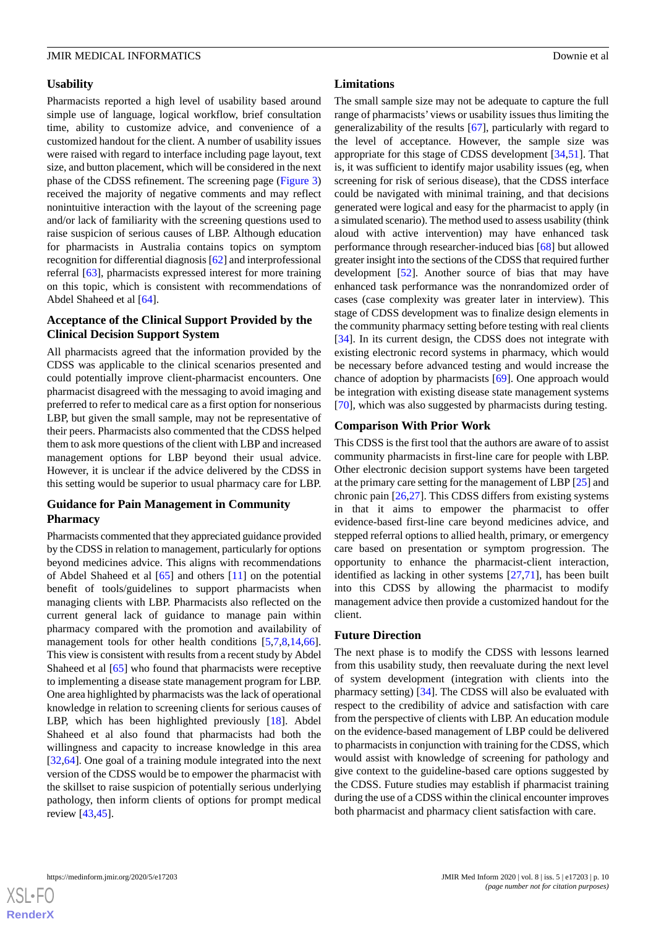#### **Usability**

Pharmacists reported a high level of usability based around simple use of language, logical workflow, brief consultation time, ability to customize advice, and convenience of a customized handout for the client. A number of usability issues were raised with regard to interface including page layout, text size, and button placement, which will be considered in the next phase of the CDSS refinement. The screening page [\(Figure 3](#page-8-0)) received the majority of negative comments and may reflect nonintuitive interaction with the layout of the screening page and/or lack of familiarity with the screening questions used to raise suspicion of serious causes of LBP. Although education for pharmacists in Australia contains topics on symptom recognition for differential diagnosis [[62\]](#page-14-13) and interprofessional referral [\[63](#page-14-14)], pharmacists expressed interest for more training on this topic, which is consistent with recommendations of Abdel Shaheed et al [[64\]](#page-14-15).

#### **Acceptance of the Clinical Support Provided by the Clinical Decision Support System**

All pharmacists agreed that the information provided by the CDSS was applicable to the clinical scenarios presented and could potentially improve client-pharmacist encounters. One pharmacist disagreed with the messaging to avoid imaging and preferred to refer to medical care as a first option for nonserious LBP, but given the small sample, may not be representative of their peers. Pharmacists also commented that the CDSS helped them to ask more questions of the client with LBP and increased management options for LBP beyond their usual advice. However, it is unclear if the advice delivered by the CDSS in this setting would be superior to usual pharmacy care for LBP.

#### **Guidance for Pain Management in Community Pharmacy**

Pharmacists commented that they appreciated guidance provided by the CDSS in relation to management, particularly for options beyond medicines advice. This aligns with recommendations of Abdel Shaheed et al [\[65](#page-14-16)] and others [[11\]](#page-12-1) on the potential benefit of tools/guidelines to support pharmacists when managing clients with LBP. Pharmacists also reflected on the current general lack of guidance to manage pain within pharmacy compared with the promotion and availability of management tools for other health conditions [[5](#page-11-4)[,7](#page-12-11),[8](#page-12-12)[,14](#page-12-13),[66\]](#page-14-17). This view is consistent with results from a recent study by Abdel Shaheed et al [\[65](#page-14-16)] who found that pharmacists were receptive to implementing a disease state management program for LBP. One area highlighted by pharmacists was the lack of operational knowledge in relation to screening clients for serious causes of LBP, which has been highlighted previously [\[18](#page-12-6)]. Abdel Shaheed et al also found that pharmacists had both the willingness and capacity to increase knowledge in this area [[32](#page-13-3)[,64](#page-14-15)]. One goal of a training module integrated into the next version of the CDSS would be to empower the pharmacist with the skillset to raise suspicion of potentially serious underlying pathology, then inform clients of options for prompt medical review [\[43](#page-13-13),[45\]](#page-13-14).

#### **Limitations**

The small sample size may not be adequate to capture the full range of pharmacists'views or usability issues thus limiting the generalizability of the results [[67\]](#page-14-18), particularly with regard to the level of acceptance. However, the sample size was appropriate for this stage of CDSS development [\[34](#page-13-5),[51\]](#page-14-2). That is, it was sufficient to identify major usability issues (eg, when screening for risk of serious disease), that the CDSS interface could be navigated with minimal training, and that decisions generated were logical and easy for the pharmacist to apply (in a simulated scenario). The method used to assess usability (think aloud with active intervention) may have enhanced task performance through researcher-induced bias [\[68](#page-14-19)] but allowed greater insight into the sections of the CDSS that required further development [[52\]](#page-14-3). Another source of bias that may have enhanced task performance was the nonrandomized order of cases (case complexity was greater later in interview). This stage of CDSS development was to finalize design elements in the community pharmacy setting before testing with real clients [[34\]](#page-13-5). In its current design, the CDSS does not integrate with existing electronic record systems in pharmacy, which would be necessary before advanced testing and would increase the chance of adoption by pharmacists [\[69](#page-14-20)]. One approach would be integration with existing disease state management systems [[70\]](#page-14-21), which was also suggested by pharmacists during testing.

#### **Comparison With Prior Work**

This CDSS is the first tool that the authors are aware of to assist community pharmacists in first-line care for people with LBP. Other electronic decision support systems have been targeted at the primary care setting for the management of LBP [[25\]](#page-12-9) and chronic pain [[26](#page-13-12)[,27](#page-13-15)]. This CDSS differs from existing systems in that it aims to empower the pharmacist to offer evidence-based first-line care beyond medicines advice, and stepped referral options to allied health, primary, or emergency care based on presentation or symptom progression. The opportunity to enhance the pharmacist-client interaction, identified as lacking in other systems [[27,](#page-13-15)[71](#page-14-22)], has been built into this CDSS by allowing the pharmacist to modify management advice then provide a customized handout for the client.

#### **Future Direction**

The next phase is to modify the CDSS with lessons learned from this usability study, then reevaluate during the next level of system development (integration with clients into the pharmacy setting) [\[34](#page-13-5)]. The CDSS will also be evaluated with respect to the credibility of advice and satisfaction with care from the perspective of clients with LBP. An education module on the evidence-based management of LBP could be delivered to pharmacists in conjunction with training for the CDSS, which would assist with knowledge of screening for pathology and give context to the guideline-based care options suggested by the CDSS. Future studies may establish if pharmacist training during the use of a CDSS within the clinical encounter improves both pharmacist and pharmacy client satisfaction with care.

 $XS$  $\cdot$ FC **[RenderX](http://www.renderx.com/)**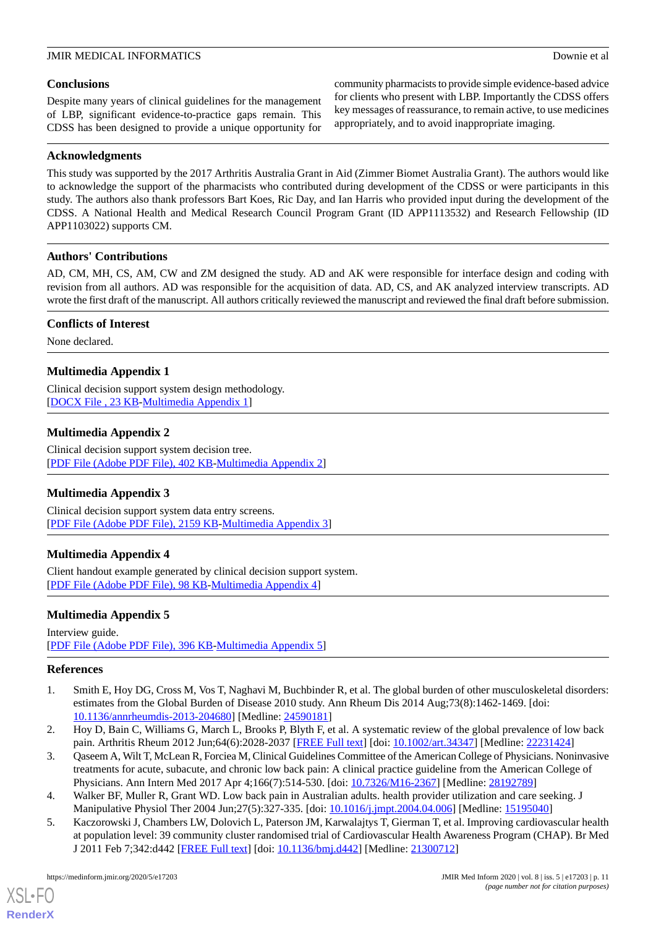#### **Conclusions**

Despite many years of clinical guidelines for the management of LBP, significant evidence-to-practice gaps remain. This CDSS has been designed to provide a unique opportunity for

#### **Acknowledgments**

community pharmacists to provide simple evidence-based advice for clients who present with LBP. Importantly the CDSS offers key messages of reassurance, to remain active, to use medicines appropriately, and to avoid inappropriate imaging.

This study was supported by the 2017 Arthritis Australia Grant in Aid (Zimmer Biomet Australia Grant). The authors would like to acknowledge the support of the pharmacists who contributed during development of the CDSS or were participants in this study. The authors also thank professors Bart Koes, Ric Day, and Ian Harris who provided input during the development of the CDSS. A National Health and Medical Research Council Program Grant (ID APP1113532) and Research Fellowship (ID APP1103022) supports CM.

#### **Authors' Contributions**

AD, CM, MH, CS, AM, CW and ZM designed the study. AD and AK were responsible for interface design and coding with revision from all authors. AD was responsible for the acquisition of data. AD, CS, and AK analyzed interview transcripts. AD wrote the first draft of the manuscript. All authors critically reviewed the manuscript and reviewed the final draft before submission.

#### **Conflicts of Interest**

<span id="page-11-5"></span>None declared.

### **Multimedia Appendix 1**

<span id="page-11-6"></span>Clinical decision support system design methodology. [[DOCX File , 23 KB](https://jmir.org/api/download?alt_name=medinform_v8i5e17203_app1.docx&filename=2f4281e53199f83961980a97c88063c8.docx)-[Multimedia Appendix 1\]](https://jmir.org/api/download?alt_name=medinform_v8i5e17203_app1.docx&filename=2f4281e53199f83961980a97c88063c8.docx)

### **Multimedia Appendix 2**

<span id="page-11-7"></span>Clinical decision support system decision tree. [[PDF File \(Adobe PDF File\), 402 KB](https://jmir.org/api/download?alt_name=medinform_v8i5e17203_app2.pdf&filename=d25a7ed701b4f7e4b774bab8111ef4b8.pdf)-[Multimedia Appendix 2\]](https://jmir.org/api/download?alt_name=medinform_v8i5e17203_app2.pdf&filename=d25a7ed701b4f7e4b774bab8111ef4b8.pdf)

#### <span id="page-11-8"></span>**Multimedia Appendix 3**

Clinical decision support system data entry screens. [[PDF File \(Adobe PDF File\), 2159 KB](https://jmir.org/api/download?alt_name=medinform_v8i5e17203_app3.pdf&filename=0467d47b11d92feebee688a17af01025.pdf)-[Multimedia Appendix 3\]](https://jmir.org/api/download?alt_name=medinform_v8i5e17203_app3.pdf&filename=0467d47b11d92feebee688a17af01025.pdf)

#### <span id="page-11-9"></span>**Multimedia Appendix 4**

Client handout example generated by clinical decision support system. [[PDF File \(Adobe PDF File\), 98 KB](https://jmir.org/api/download?alt_name=medinform_v8i5e17203_app4.pdf&filename=103d395ed878333af0dd473334e2be61.pdf)-[Multimedia Appendix 4\]](https://jmir.org/api/download?alt_name=medinform_v8i5e17203_app4.pdf&filename=103d395ed878333af0dd473334e2be61.pdf)

#### <span id="page-11-0"></span>**Multimedia Appendix 5**

Interview guide. [[PDF File \(Adobe PDF File\), 396 KB](https://jmir.org/api/download?alt_name=medinform_v8i5e17203_app5.pdf&filename=63e02c6786dbfa7e65f52a2df19c4802.pdf)-[Multimedia Appendix 5\]](https://jmir.org/api/download?alt_name=medinform_v8i5e17203_app5.pdf&filename=63e02c6786dbfa7e65f52a2df19c4802.pdf)

#### <span id="page-11-1"></span>**References**

- <span id="page-11-2"></span>1. Smith E, Hoy DG, Cross M, Vos T, Naghavi M, Buchbinder R, et al. The global burden of other musculoskeletal disorders: estimates from the Global Burden of Disease 2010 study. Ann Rheum Dis 2014 Aug;73(8):1462-1469. [doi: [10.1136/annrheumdis-2013-204680](http://dx.doi.org/10.1136/annrheumdis-2013-204680)] [Medline: [24590181\]](http://www.ncbi.nlm.nih.gov/entrez/query.fcgi?cmd=Retrieve&db=PubMed&list_uids=24590181&dopt=Abstract)
- <span id="page-11-4"></span><span id="page-11-3"></span>2. Hoy D, Bain C, Williams G, March L, Brooks P, Blyth F, et al. A systematic review of the global prevalence of low back pain. Arthritis Rheum 2012 Jun;64(6):2028-2037 [\[FREE Full text\]](https://doi.org/10.1002/art.34347) [doi: [10.1002/art.34347](http://dx.doi.org/10.1002/art.34347)] [Medline: [22231424](http://www.ncbi.nlm.nih.gov/entrez/query.fcgi?cmd=Retrieve&db=PubMed&list_uids=22231424&dopt=Abstract)]
- 3. Qaseem A, Wilt T, McLean R, Forciea M, Clinical Guidelines Committee of the American College of Physicians. Noninvasive treatments for acute, subacute, and chronic low back pain: A clinical practice guideline from the American College of Physicians. Ann Intern Med 2017 Apr 4;166(7):514-530. [doi: [10.7326/M16-2367](http://dx.doi.org/10.7326/M16-2367)] [Medline: [28192789\]](http://www.ncbi.nlm.nih.gov/entrez/query.fcgi?cmd=Retrieve&db=PubMed&list_uids=28192789&dopt=Abstract)
- 4. Walker BF, Muller R, Grant WD. Low back pain in Australian adults. health provider utilization and care seeking. J Manipulative Physiol Ther 2004 Jun;27(5):327-335. [doi: [10.1016/j.jmpt.2004.04.006](http://dx.doi.org/10.1016/j.jmpt.2004.04.006)] [Medline: [15195040](http://www.ncbi.nlm.nih.gov/entrez/query.fcgi?cmd=Retrieve&db=PubMed&list_uids=15195040&dopt=Abstract)]
- 5. Kaczorowski J, Chambers LW, Dolovich L, Paterson JM, Karwalajtys T, Gierman T, et al. Improving cardiovascular health at population level: 39 community cluster randomised trial of Cardiovascular Health Awareness Program (CHAP). Br Med J 2011 Feb 7;342:d442 [\[FREE Full text\]](http://europepmc.org/abstract/MED/21300712) [doi: [10.1136/bmj.d442](http://dx.doi.org/10.1136/bmj.d442)] [Medline: [21300712](http://www.ncbi.nlm.nih.gov/entrez/query.fcgi?cmd=Retrieve&db=PubMed&list_uids=21300712&dopt=Abstract)]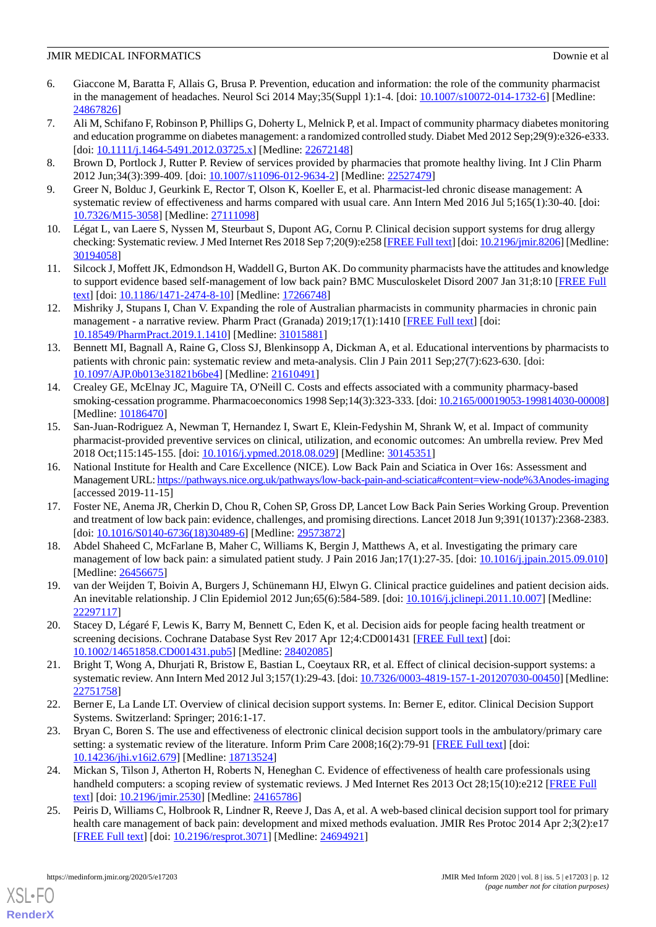- 6. Giaccone M, Baratta F, Allais G, Brusa P. Prevention, education and information: the role of the community pharmacist in the management of headaches. Neurol Sci 2014 May;35(Suppl 1):1-4. [doi: [10.1007/s10072-014-1732-6](http://dx.doi.org/10.1007/s10072-014-1732-6)] [Medline: [24867826](http://www.ncbi.nlm.nih.gov/entrez/query.fcgi?cmd=Retrieve&db=PubMed&list_uids=24867826&dopt=Abstract)]
- <span id="page-12-11"></span>7. Ali M, Schifano F, Robinson P, Phillips G, Doherty L, Melnick P, et al. Impact of community pharmacy diabetes monitoring and education programme on diabetes management: a randomized controlled study. Diabet Med 2012 Sep;29(9):e326-e333. [doi: [10.1111/j.1464-5491.2012.03725.x](http://dx.doi.org/10.1111/j.1464-5491.2012.03725.x)] [Medline: [22672148](http://www.ncbi.nlm.nih.gov/entrez/query.fcgi?cmd=Retrieve&db=PubMed&list_uids=22672148&dopt=Abstract)]
- <span id="page-12-12"></span>8. Brown D, Portlock J, Rutter P. Review of services provided by pharmacies that promote healthy living. Int J Clin Pharm 2012 Jun;34(3):399-409. [doi: [10.1007/s11096-012-9634-2](http://dx.doi.org/10.1007/s11096-012-9634-2)] [Medline: [22527479\]](http://www.ncbi.nlm.nih.gov/entrez/query.fcgi?cmd=Retrieve&db=PubMed&list_uids=22527479&dopt=Abstract)
- <span id="page-12-0"></span>9. Greer N, Bolduc J, Geurkink E, Rector T, Olson K, Koeller E, et al. Pharmacist-led chronic disease management: A systematic review of effectiveness and harms compared with usual care. Ann Intern Med 2016 Jul 5;165(1):30-40. [doi: [10.7326/M15-3058](http://dx.doi.org/10.7326/M15-3058)] [Medline: [27111098\]](http://www.ncbi.nlm.nih.gov/entrez/query.fcgi?cmd=Retrieve&db=PubMed&list_uids=27111098&dopt=Abstract)
- <span id="page-12-1"></span>10. Légat L, van Laere S, Nyssen M, Steurbaut S, Dupont AG, Cornu P. Clinical decision support systems for drug allergy checking: Systematic review. J Med Internet Res 2018 Sep 7;20(9):e258 [[FREE Full text](https://www.jmir.org/2018/9/e258/)] [doi: [10.2196/jmir.8206\]](http://dx.doi.org/10.2196/jmir.8206) [Medline: [30194058](http://www.ncbi.nlm.nih.gov/entrez/query.fcgi?cmd=Retrieve&db=PubMed&list_uids=30194058&dopt=Abstract)]
- 11. Silcock J, Moffett JK, Edmondson H, Waddell G, Burton AK. Do community pharmacists have the attitudes and knowledge to support evidence based self-management of low back pain? BMC Musculoskelet Disord 2007 Jan 31;8:10 [\[FREE Full](https://bmcmusculoskeletdisord.biomedcentral.com/articles/10.1186/1471-2474-8-10) [text](https://bmcmusculoskeletdisord.biomedcentral.com/articles/10.1186/1471-2474-8-10)] [doi: [10.1186/1471-2474-8-10\]](http://dx.doi.org/10.1186/1471-2474-8-10) [Medline: [17266748\]](http://www.ncbi.nlm.nih.gov/entrez/query.fcgi?cmd=Retrieve&db=PubMed&list_uids=17266748&dopt=Abstract)
- <span id="page-12-2"></span>12. Mishriky J, Stupans I, Chan V. Expanding the role of Australian pharmacists in community pharmacies in chronic pain management - a narrative review. Pharm Pract (Granada) 2019;17(1):1410 [\[FREE Full text\]](http://europepmc.org/abstract/MED/31015881) [doi: [10.18549/PharmPract.2019.1.1410\]](http://dx.doi.org/10.18549/PharmPract.2019.1.1410) [Medline: [31015881\]](http://www.ncbi.nlm.nih.gov/entrez/query.fcgi?cmd=Retrieve&db=PubMed&list_uids=31015881&dopt=Abstract)
- <span id="page-12-13"></span>13. Bennett MI, Bagnall A, Raine G, Closs SJ, Blenkinsopp A, Dickman A, et al. Educational interventions by pharmacists to patients with chronic pain: systematic review and meta-analysis. Clin J Pain 2011 Sep;27(7):623-630. [doi: [10.1097/AJP.0b013e31821b6be4\]](http://dx.doi.org/10.1097/AJP.0b013e31821b6be4) [Medline: [21610491](http://www.ncbi.nlm.nih.gov/entrez/query.fcgi?cmd=Retrieve&db=PubMed&list_uids=21610491&dopt=Abstract)]
- <span id="page-12-3"></span>14. Crealey GE, McElnay JC, Maguire TA, O'Neill C. Costs and effects associated with a community pharmacy-based smoking-cessation programme. Pharmacoeconomics 1998 Sep;14(3):323-333. [doi: [10.2165/00019053-199814030-00008\]](http://dx.doi.org/10.2165/00019053-199814030-00008) [Medline: [10186470](http://www.ncbi.nlm.nih.gov/entrez/query.fcgi?cmd=Retrieve&db=PubMed&list_uids=10186470&dopt=Abstract)]
- <span id="page-12-4"></span>15. San-Juan-Rodriguez A, Newman T, Hernandez I, Swart E, Klein-Fedyshin M, Shrank W, et al. Impact of community pharmacist-provided preventive services on clinical, utilization, and economic outcomes: An umbrella review. Prev Med 2018 Oct;115:145-155. [doi: [10.1016/j.ypmed.2018.08.029](http://dx.doi.org/10.1016/j.ypmed.2018.08.029)] [Medline: [30145351\]](http://www.ncbi.nlm.nih.gov/entrez/query.fcgi?cmd=Retrieve&db=PubMed&list_uids=30145351&dopt=Abstract)
- <span id="page-12-5"></span>16. National Institute for Health and Care Excellence (NICE). Low Back Pain and Sciatica in Over 16s: Assessment and Management URL:<https://pathways.nice.org.uk/pathways/low-back-pain-and-sciatica#content=view-node%3Anodes-imaging> [accessed 2019-11-15]
- <span id="page-12-6"></span>17. Foster NE, Anema JR, Cherkin D, Chou R, Cohen SP, Gross DP, Lancet Low Back Pain Series Working Group. Prevention and treatment of low back pain: evidence, challenges, and promising directions. Lancet 2018 Jun 9;391(10137):2368-2383. [doi: [10.1016/S0140-6736\(18\)30489-6](http://dx.doi.org/10.1016/S0140-6736(18)30489-6)] [Medline: [29573872\]](http://www.ncbi.nlm.nih.gov/entrez/query.fcgi?cmd=Retrieve&db=PubMed&list_uids=29573872&dopt=Abstract)
- <span id="page-12-7"></span>18. Abdel Shaheed C, McFarlane B, Maher C, Williams K, Bergin J, Matthews A, et al. Investigating the primary care management of low back pain: a simulated patient study. J Pain 2016 Jan;17(1):27-35. [doi: [10.1016/j.jpain.2015.09.010](http://dx.doi.org/10.1016/j.jpain.2015.09.010)] [Medline: [26456675](http://www.ncbi.nlm.nih.gov/entrez/query.fcgi?cmd=Retrieve&db=PubMed&list_uids=26456675&dopt=Abstract)]
- 19. van der Weijden T, Boivin A, Burgers J, Schünemann HJ, Elwyn G. Clinical practice guidelines and patient decision aids. An inevitable relationship. J Clin Epidemiol 2012 Jun;65(6):584-589. [doi: [10.1016/j.jclinepi.2011.10.007\]](http://dx.doi.org/10.1016/j.jclinepi.2011.10.007) [Medline: [22297117](http://www.ncbi.nlm.nih.gov/entrez/query.fcgi?cmd=Retrieve&db=PubMed&list_uids=22297117&dopt=Abstract)]
- <span id="page-12-10"></span>20. Stacey D, Légaré F, Lewis K, Barry M, Bennett C, Eden K, et al. Decision aids for people facing health treatment or screening decisions. Cochrane Database Syst Rev 2017 Apr 12;4:CD001431 [\[FREE Full text\]](http://europepmc.org/abstract/MED/28402085) [doi: [10.1002/14651858.CD001431.pub5\]](http://dx.doi.org/10.1002/14651858.CD001431.pub5) [Medline: [28402085](http://www.ncbi.nlm.nih.gov/entrez/query.fcgi?cmd=Retrieve&db=PubMed&list_uids=28402085&dopt=Abstract)]
- 21. Bright T, Wong A, Dhurjati R, Bristow E, Bastian L, Coeytaux RR, et al. Effect of clinical decision-support systems: a systematic review. Ann Intern Med 2012 Jul 3;157(1):29-43. [doi: [10.7326/0003-4819-157-1-201207030-00450](http://dx.doi.org/10.7326/0003-4819-157-1-201207030-00450)] [Medline: [22751758](http://www.ncbi.nlm.nih.gov/entrez/query.fcgi?cmd=Retrieve&db=PubMed&list_uids=22751758&dopt=Abstract)]
- <span id="page-12-8"></span>22. Berner E, La Lande LT. Overview of clinical decision support systems. In: Berner E, editor. Clinical Decision Support Systems. Switzerland: Springer; 2016:1-17.
- <span id="page-12-9"></span>23. Bryan C, Boren S. The use and effectiveness of electronic clinical decision support tools in the ambulatory/primary care setting: a systematic review of the literature. Inform Prim Care 2008;16(2):79-91 [[FREE Full text](http://hijournal.bcs.org/index.php/jhi/article/view/679)] [doi: [10.14236/jhi.v16i2.679](http://dx.doi.org/10.14236/jhi.v16i2.679)] [Medline: [18713524\]](http://www.ncbi.nlm.nih.gov/entrez/query.fcgi?cmd=Retrieve&db=PubMed&list_uids=18713524&dopt=Abstract)
- 24. Mickan S, Tilson J, Atherton H, Roberts N, Heneghan C. Evidence of effectiveness of health care professionals using handheld computers: a scoping review of systematic reviews. J Med Internet Res 2013 Oct 28;15(10):e212 [[FREE Full](https://www.jmir.org/2013/10/e212/) [text](https://www.jmir.org/2013/10/e212/)] [doi: [10.2196/jmir.2530](http://dx.doi.org/10.2196/jmir.2530)] [Medline: [24165786](http://www.ncbi.nlm.nih.gov/entrez/query.fcgi?cmd=Retrieve&db=PubMed&list_uids=24165786&dopt=Abstract)]
- 25. Peiris D, Williams C, Holbrook R, Lindner R, Reeve J, Das A, et al. A web-based clinical decision support tool for primary health care management of back pain: development and mixed methods evaluation. JMIR Res Protoc 2014 Apr 2;3(2):e17 [[FREE Full text](https://www.researchprotocols.org/2014/2/e17/)] [doi: [10.2196/resprot.3071](http://dx.doi.org/10.2196/resprot.3071)] [Medline: [24694921\]](http://www.ncbi.nlm.nih.gov/entrez/query.fcgi?cmd=Retrieve&db=PubMed&list_uids=24694921&dopt=Abstract)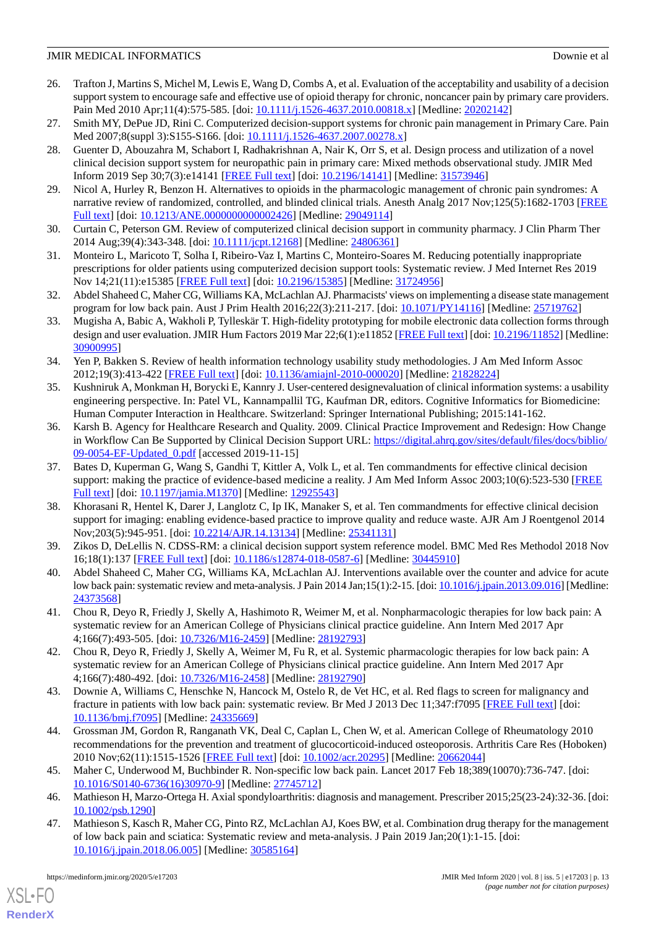- <span id="page-13-12"></span>26. Trafton J, Martins S, Michel M, Lewis E, Wang D, Combs A, et al. Evaluation of the acceptability and usability of a decision support system to encourage safe and effective use of opioid therapy for chronic, noncancer pain by primary care providers. Pain Med 2010 Apr;11(4):575-585. [doi: [10.1111/j.1526-4637.2010.00818.x\]](http://dx.doi.org/10.1111/j.1526-4637.2010.00818.x) [Medline: [20202142\]](http://www.ncbi.nlm.nih.gov/entrez/query.fcgi?cmd=Retrieve&db=PubMed&list_uids=20202142&dopt=Abstract)
- <span id="page-13-15"></span>27. Smith MY, DePue JD, Rini C. Computerized decision-support systems for chronic pain management in Primary Care. Pain Med 2007;8(suppl 3):S155-S166. [doi: [10.1111/j.1526-4637.2007.00278.x\]](http://dx.doi.org/10.1111/j.1526-4637.2007.00278.x)
- 28. Guenter D, Abouzahra M, Schabort I, Radhakrishnan A, Nair K, Orr S, et al. Design process and utilization of a novel clinical decision support system for neuropathic pain in primary care: Mixed methods observational study. JMIR Med Inform 2019 Sep 30;7(3):e14141 [\[FREE Full text\]](https://medinform.jmir.org/2019/3/e14141/) [doi: [10.2196/14141](http://dx.doi.org/10.2196/14141)] [Medline: [31573946\]](http://www.ncbi.nlm.nih.gov/entrez/query.fcgi?cmd=Retrieve&db=PubMed&list_uids=31573946&dopt=Abstract)
- <span id="page-13-1"></span><span id="page-13-0"></span>29. Nicol A, Hurley R, Benzon H. Alternatives to opioids in the pharmacologic management of chronic pain syndromes: A narrative review of randomized, controlled, and blinded clinical trials. Anesth Analg 2017 Nov;125(5):1682-1703 [\[FREE](http://europepmc.org/abstract/MED/29049114) [Full text\]](http://europepmc.org/abstract/MED/29049114) [doi: [10.1213/ANE.0000000000002426\]](http://dx.doi.org/10.1213/ANE.0000000000002426) [Medline: [29049114](http://www.ncbi.nlm.nih.gov/entrez/query.fcgi?cmd=Retrieve&db=PubMed&list_uids=29049114&dopt=Abstract)]
- <span id="page-13-2"></span>30. Curtain C, Peterson GM. Review of computerized clinical decision support in community pharmacy. J Clin Pharm Ther 2014 Aug;39(4):343-348. [doi: [10.1111/jcpt.12168\]](http://dx.doi.org/10.1111/jcpt.12168) [Medline: [24806361\]](http://www.ncbi.nlm.nih.gov/entrez/query.fcgi?cmd=Retrieve&db=PubMed&list_uids=24806361&dopt=Abstract)
- <span id="page-13-3"></span>31. Monteiro L, Maricoto T, Solha I, Ribeiro-Vaz I, Martins C, Monteiro-Soares M. Reducing potentially inappropriate prescriptions for older patients using computerized decision support tools: Systematic review. J Med Internet Res 2019 Nov 14;21(11):e15385 [[FREE Full text](https://www.jmir.org/2019/11/e15385/)] [doi: [10.2196/15385\]](http://dx.doi.org/10.2196/15385) [Medline: [31724956](http://www.ncbi.nlm.nih.gov/entrez/query.fcgi?cmd=Retrieve&db=PubMed&list_uids=31724956&dopt=Abstract)]
- <span id="page-13-4"></span>32. Abdel Shaheed C, Maher CG, Williams KA, McLachlan AJ. Pharmacists' views on implementing a disease state management program for low back pain. Aust J Prim Health 2016;22(3):211-217. [doi: [10.1071/PY14116\]](http://dx.doi.org/10.1071/PY14116) [Medline: [25719762\]](http://www.ncbi.nlm.nih.gov/entrez/query.fcgi?cmd=Retrieve&db=PubMed&list_uids=25719762&dopt=Abstract)
- <span id="page-13-5"></span>33. Mugisha A, Babic A, Wakholi P, Tylleskär T. High-fidelity prototyping for mobile electronic data collection forms through design and user evaluation. JMIR Hum Factors 2019 Mar 22;6(1):e11852 [[FREE Full text](https://humanfactors.jmir.org/2019/1/e11852/)] [doi: [10.2196/11852\]](http://dx.doi.org/10.2196/11852) [Medline: [30900995](http://www.ncbi.nlm.nih.gov/entrez/query.fcgi?cmd=Retrieve&db=PubMed&list_uids=30900995&dopt=Abstract)]
- <span id="page-13-6"></span>34. Yen P, Bakken S. Review of health information technology usability study methodologies. J Am Med Inform Assoc 2012;19(3):413-422 [[FREE Full text](http://europepmc.org/abstract/MED/21828224)] [doi: [10.1136/amiajnl-2010-000020](http://dx.doi.org/10.1136/amiajnl-2010-000020)] [Medline: [21828224](http://www.ncbi.nlm.nih.gov/entrez/query.fcgi?cmd=Retrieve&db=PubMed&list_uids=21828224&dopt=Abstract)]
- <span id="page-13-7"></span>35. Kushniruk A, Monkman H, Borycki E, Kannry J. User-centered designevaluation of clinical information systems: a usability engineering perspective. In: Patel VL, Kannampallil TG, Kaufman DR, editors. Cognitive Informatics for Biomedicine: Human Computer Interaction in Healthcare. Switzerland: Springer International Publishing; 2015:141-162.
- <span id="page-13-8"></span>36. Karsh B. Agency for Healthcare Research and Quality. 2009. Clinical Practice Improvement and Redesign: How Change in Workflow Can Be Supported by Clinical Decision Support URL: [https://digital.ahrq.gov/sites/default/files/docs/biblio/](https://digital.ahrq.gov/sites/default/files/docs/biblio/09-0054-EF-Updated_0.pdf) [09-0054-EF-Updated\\_0.pdf](https://digital.ahrq.gov/sites/default/files/docs/biblio/09-0054-EF-Updated_0.pdf) [accessed 2019-11-15]
- <span id="page-13-9"></span>37. Bates D, Kuperman G, Wang S, Gandhi T, Kittler A, Volk L, et al. Ten commandments for effective clinical decision support: making the practice of evidence-based medicine a reality. J Am Med Inform Assoc 2003;10(6):523-530 [\[FREE](http://europepmc.org/abstract/MED/12925543) [Full text\]](http://europepmc.org/abstract/MED/12925543) [doi: [10.1197/jamia.M1370](http://dx.doi.org/10.1197/jamia.M1370)] [Medline: [12925543\]](http://www.ncbi.nlm.nih.gov/entrez/query.fcgi?cmd=Retrieve&db=PubMed&list_uids=12925543&dopt=Abstract)
- <span id="page-13-11"></span><span id="page-13-10"></span>38. Khorasani R, Hentel K, Darer J, Langlotz C, Ip IK, Manaker S, et al. Ten commandments for effective clinical decision support for imaging: enabling evidence-based practice to improve quality and reduce waste. AJR Am J Roentgenol 2014 Nov;203(5):945-951. [doi: [10.2214/AJR.14.13134\]](http://dx.doi.org/10.2214/AJR.14.13134) [Medline: [25341131](http://www.ncbi.nlm.nih.gov/entrez/query.fcgi?cmd=Retrieve&db=PubMed&list_uids=25341131&dopt=Abstract)]
- 39. Zikos D, DeLellis N. CDSS-RM: a clinical decision support system reference model. BMC Med Res Methodol 2018 Nov 16;18(1):137 [[FREE Full text\]](https://bmcmedresmethodol.biomedcentral.com/articles/10.1186/s12874-018-0587-6) [doi: [10.1186/s12874-018-0587-6](http://dx.doi.org/10.1186/s12874-018-0587-6)] [Medline: [30445910](http://www.ncbi.nlm.nih.gov/entrez/query.fcgi?cmd=Retrieve&db=PubMed&list_uids=30445910&dopt=Abstract)]
- 40. Abdel Shaheed C, Maher CG, Williams KA, McLachlan AJ. Interventions available over the counter and advice for acute low back pain: systematic review and meta-analysis. J Pain 2014 Jan;15(1):2-15. [doi: [10.1016/j.jpain.2013.09.016\]](http://dx.doi.org/10.1016/j.jpain.2013.09.016) [Medline: [24373568](http://www.ncbi.nlm.nih.gov/entrez/query.fcgi?cmd=Retrieve&db=PubMed&list_uids=24373568&dopt=Abstract)]
- <span id="page-13-13"></span>41. Chou R, Deyo R, Friedly J, Skelly A, Hashimoto R, Weimer M, et al. Nonpharmacologic therapies for low back pain: A systematic review for an American College of Physicians clinical practice guideline. Ann Intern Med 2017 Apr 4;166(7):493-505. [doi: [10.7326/M16-2459\]](http://dx.doi.org/10.7326/M16-2459) [Medline: [28192793\]](http://www.ncbi.nlm.nih.gov/entrez/query.fcgi?cmd=Retrieve&db=PubMed&list_uids=28192793&dopt=Abstract)
- 42. Chou R, Deyo R, Friedly J, Skelly A, Weimer M, Fu R, et al. Systemic pharmacologic therapies for low back pain: A systematic review for an American College of Physicians clinical practice guideline. Ann Intern Med 2017 Apr 4;166(7):480-492. [doi: [10.7326/M16-2458\]](http://dx.doi.org/10.7326/M16-2458) [Medline: [28192790\]](http://www.ncbi.nlm.nih.gov/entrez/query.fcgi?cmd=Retrieve&db=PubMed&list_uids=28192790&dopt=Abstract)
- <span id="page-13-14"></span>43. Downie A, Williams C, Henschke N, Hancock M, Ostelo R, de Vet HC, et al. Red flags to screen for malignancy and fracture in patients with low back pain: systematic review. Br Med J 2013 Dec 11;347:f7095 [[FREE Full text](http://www.bmj.com/cgi/pmidlookup?view=long&pmid=24335669)] [doi: [10.1136/bmj.f7095](http://dx.doi.org/10.1136/bmj.f7095)] [Medline: [24335669\]](http://www.ncbi.nlm.nih.gov/entrez/query.fcgi?cmd=Retrieve&db=PubMed&list_uids=24335669&dopt=Abstract)
- 44. Grossman JM, Gordon R, Ranganath VK, Deal C, Caplan L, Chen W, et al. American College of Rheumatology 2010 recommendations for the prevention and treatment of glucocorticoid-induced osteoporosis. Arthritis Care Res (Hoboken) 2010 Nov;62(11):1515-1526 [[FREE Full text\]](https://doi.org/10.1002/acr.20295) [doi: [10.1002/acr.20295\]](http://dx.doi.org/10.1002/acr.20295) [Medline: [20662044](http://www.ncbi.nlm.nih.gov/entrez/query.fcgi?cmd=Retrieve&db=PubMed&list_uids=20662044&dopt=Abstract)]
- 45. Maher C, Underwood M, Buchbinder R. Non-specific low back pain. Lancet 2017 Feb 18;389(10070):736-747. [doi: [10.1016/S0140-6736\(16\)30970-9\]](http://dx.doi.org/10.1016/S0140-6736(16)30970-9) [Medline: [27745712](http://www.ncbi.nlm.nih.gov/entrez/query.fcgi?cmd=Retrieve&db=PubMed&list_uids=27745712&dopt=Abstract)]
- 46. Mathieson H, Marzo-Ortega H. Axial spondyloarthritis: diagnosis and management. Prescriber 2015;25(23-24):32-36. [doi: [10.1002/psb.1290\]](http://dx.doi.org/10.1002/psb.1290)
- 47. Mathieson S, Kasch R, Maher CG, Pinto RZ, McLachlan AJ, Koes BW, et al. Combination drug therapy for the management of low back pain and sciatica: Systematic review and meta-analysis. J Pain 2019 Jan;20(1):1-15. [doi: [10.1016/j.jpain.2018.06.005\]](http://dx.doi.org/10.1016/j.jpain.2018.06.005) [Medline: [30585164](http://www.ncbi.nlm.nih.gov/entrez/query.fcgi?cmd=Retrieve&db=PubMed&list_uids=30585164&dopt=Abstract)]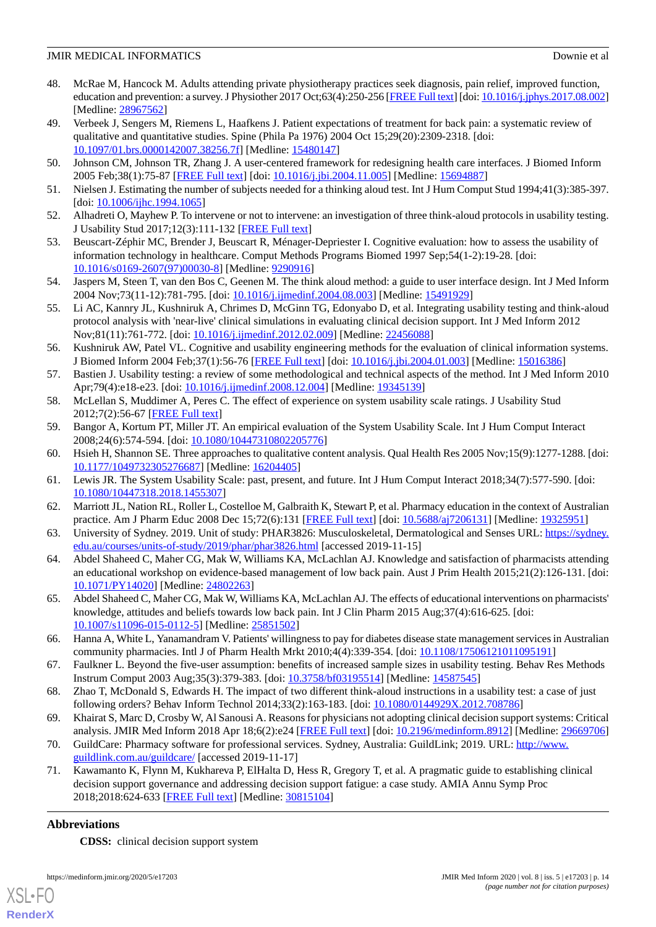- 48. McRae M, Hancock M. Adults attending private physiotherapy practices seek diagnosis, pain relief, improved function, education and prevention: a survey. J Physiother 2017 Oct;63(4):250-256 [[FREE Full text\]](https://linkinghub.elsevier.com/retrieve/pii/S1836-9553(17)30097-8) [doi: [10.1016/j.jphys.2017.08.002\]](http://dx.doi.org/10.1016/j.jphys.2017.08.002) [Medline: [28967562](http://www.ncbi.nlm.nih.gov/entrez/query.fcgi?cmd=Retrieve&db=PubMed&list_uids=28967562&dopt=Abstract)]
- <span id="page-14-0"></span>49. Verbeek J, Sengers M, Riemens L, Haafkens J. Patient expectations of treatment for back pain: a systematic review of qualitative and quantitative studies. Spine (Phila Pa 1976) 2004 Oct 15;29(20):2309-2318. [doi: [10.1097/01.brs.0000142007.38256.7f](http://dx.doi.org/10.1097/01.brs.0000142007.38256.7f)] [Medline: [15480147](http://www.ncbi.nlm.nih.gov/entrez/query.fcgi?cmd=Retrieve&db=PubMed&list_uids=15480147&dopt=Abstract)]
- <span id="page-14-2"></span><span id="page-14-1"></span>50. Johnson CM, Johnson TR, Zhang J. A user-centered framework for redesigning health care interfaces. J Biomed Inform 2005 Feb;38(1):75-87 [\[FREE Full text\]](https://linkinghub.elsevier.com/retrieve/pii/S1532-0464(04)00153-4) [doi: [10.1016/j.jbi.2004.11.005\]](http://dx.doi.org/10.1016/j.jbi.2004.11.005) [Medline: [15694887](http://www.ncbi.nlm.nih.gov/entrez/query.fcgi?cmd=Retrieve&db=PubMed&list_uids=15694887&dopt=Abstract)]
- <span id="page-14-3"></span>51. Nielsen J. Estimating the number of subjects needed for a thinking aloud test. Int J Hum Comput Stud 1994;41(3):385-397. [doi: [10.1006/ijhc.1994.1065](http://dx.doi.org/10.1006/ijhc.1994.1065)]
- <span id="page-14-4"></span>52. Alhadreti O, Mayhew P. To intervene or not to intervene: an investigation of three think-aloud protocols in usability testing. J Usability Stud 2017;12(3):111-132 [\[FREE Full text\]](http://uxpajournal.org/wp-content/uploads/sites/8/pdf/JUS_Alhadreti_May2017.pdf)
- <span id="page-14-5"></span>53. Beuscart-Zéphir MC, Brender J, Beuscart R, Ménager-Depriester I. Cognitive evaluation: how to assess the usability of information technology in healthcare. Comput Methods Programs Biomed 1997 Sep;54(1-2):19-28. [doi: [10.1016/s0169-2607\(97\)00030-8](http://dx.doi.org/10.1016/s0169-2607(97)00030-8)] [Medline: [9290916\]](http://www.ncbi.nlm.nih.gov/entrez/query.fcgi?cmd=Retrieve&db=PubMed&list_uids=9290916&dopt=Abstract)
- <span id="page-14-6"></span>54. Jaspers M, Steen T, van den Bos C, Geenen M. The think aloud method: a guide to user interface design. Int J Med Inform 2004 Nov;73(11-12):781-795. [doi: [10.1016/j.ijmedinf.2004.08.003](http://dx.doi.org/10.1016/j.ijmedinf.2004.08.003)] [Medline: [15491929](http://www.ncbi.nlm.nih.gov/entrez/query.fcgi?cmd=Retrieve&db=PubMed&list_uids=15491929&dopt=Abstract)]
- <span id="page-14-7"></span>55. Li AC, Kannry JL, Kushniruk A, Chrimes D, McGinn TG, Edonyabo D, et al. Integrating usability testing and think-aloud protocol analysis with 'near-live' clinical simulations in evaluating clinical decision support. Int J Med Inform 2012 Nov;81(11):761-772. [doi: [10.1016/j.ijmedinf.2012.02.009](http://dx.doi.org/10.1016/j.ijmedinf.2012.02.009)] [Medline: [22456088](http://www.ncbi.nlm.nih.gov/entrez/query.fcgi?cmd=Retrieve&db=PubMed&list_uids=22456088&dopt=Abstract)]
- <span id="page-14-8"></span>56. Kushniruk AW, Patel VL. Cognitive and usability engineering methods for the evaluation of clinical information systems. J Biomed Inform 2004 Feb;37(1):56-76 [\[FREE Full text\]](https://linkinghub.elsevier.com/retrieve/pii/S1532046404000206) [doi: [10.1016/j.jbi.2004.01.003](http://dx.doi.org/10.1016/j.jbi.2004.01.003)] [Medline: [15016386](http://www.ncbi.nlm.nih.gov/entrez/query.fcgi?cmd=Retrieve&db=PubMed&list_uids=15016386&dopt=Abstract)]
- <span id="page-14-10"></span><span id="page-14-9"></span>57. Bastien J. Usability testing: a review of some methodological and technical aspects of the method. Int J Med Inform 2010 Apr;79(4):e18-e23. [doi: [10.1016/j.ijmedinf.2008.12.004\]](http://dx.doi.org/10.1016/j.ijmedinf.2008.12.004) [Medline: [19345139\]](http://www.ncbi.nlm.nih.gov/entrez/query.fcgi?cmd=Retrieve&db=PubMed&list_uids=19345139&dopt=Abstract)
- <span id="page-14-11"></span>58. McLellan S, Muddimer A, Peres C. The effect of experience on system usability scale ratings. J Usability Stud 2012;7(2):56-67 [[FREE Full text](http://uxpajournal.org/wp-content/uploads/sites/8/pdf/JUS_McLellan_February_2012.pdf)]
- <span id="page-14-12"></span>59. Bangor A, Kortum PT, Miller JT. An empirical evaluation of the System Usability Scale. Int J Hum Comput Interact 2008;24(6):574-594. [doi: [10.1080/10447310802205776\]](http://dx.doi.org/10.1080/10447310802205776)
- <span id="page-14-13"></span>60. Hsieh H, Shannon SE. Three approaches to qualitative content analysis. Qual Health Res 2005 Nov;15(9):1277-1288. [doi: [10.1177/1049732305276687\]](http://dx.doi.org/10.1177/1049732305276687) [Medline: [16204405\]](http://www.ncbi.nlm.nih.gov/entrez/query.fcgi?cmd=Retrieve&db=PubMed&list_uids=16204405&dopt=Abstract)
- <span id="page-14-14"></span>61. Lewis JR. The System Usability Scale: past, present, and future. Int J Hum Comput Interact 2018;34(7):577-590. [doi: [10.1080/10447318.2018.1455307\]](http://dx.doi.org/10.1080/10447318.2018.1455307)
- <span id="page-14-15"></span>62. Marriott JL, Nation RL, Roller L, Costelloe M, Galbraith K, Stewart P, et al. Pharmacy education in the context of Australian practice. Am J Pharm Educ 2008 Dec 15;72(6):131 [[FREE Full text](http://europepmc.org/abstract/MED/19325951)] [doi: [10.5688/aj7206131](http://dx.doi.org/10.5688/aj7206131)] [Medline: [19325951\]](http://www.ncbi.nlm.nih.gov/entrez/query.fcgi?cmd=Retrieve&db=PubMed&list_uids=19325951&dopt=Abstract)
- <span id="page-14-16"></span>63. University of Sydney. 2019. Unit of study: PHAR3826: Musculoskeletal, Dermatological and Senses URL: [https://sydney.](https://sydney.edu.au/courses/units-of-study/2019/phar/phar3826.html) [edu.au/courses/units-of-study/2019/phar/phar3826.html](https://sydney.edu.au/courses/units-of-study/2019/phar/phar3826.html) [accessed 2019-11-15]
- <span id="page-14-17"></span>64. Abdel Shaheed C, Maher CG, Mak W, Williams KA, McLachlan AJ. Knowledge and satisfaction of pharmacists attending an educational workshop on evidence-based management of low back pain. Aust J Prim Health 2015;21(2):126-131. [doi: [10.1071/PY14020\]](http://dx.doi.org/10.1071/PY14020) [Medline: [24802263](http://www.ncbi.nlm.nih.gov/entrez/query.fcgi?cmd=Retrieve&db=PubMed&list_uids=24802263&dopt=Abstract)]
- <span id="page-14-18"></span>65. Abdel Shaheed C, Maher CG, Mak W, Williams KA, McLachlan AJ. The effects of educational interventions on pharmacists' knowledge, attitudes and beliefs towards low back pain. Int J Clin Pharm 2015 Aug;37(4):616-625. [doi: [10.1007/s11096-015-0112-5\]](http://dx.doi.org/10.1007/s11096-015-0112-5) [Medline: [25851502](http://www.ncbi.nlm.nih.gov/entrez/query.fcgi?cmd=Retrieve&db=PubMed&list_uids=25851502&dopt=Abstract)]
- <span id="page-14-20"></span><span id="page-14-19"></span>66. Hanna A, White L, Yanamandram V. Patients' willingness to pay for diabetes disease state management services in Australian community pharmacies. Intl J of Pharm Health Mrkt 2010;4(4):339-354. [doi: [10.1108/17506121011095191](http://dx.doi.org/10.1108/17506121011095191)]
- <span id="page-14-21"></span>67. Faulkner L. Beyond the five-user assumption: benefits of increased sample sizes in usability testing. Behav Res Methods Instrum Comput 2003 Aug;35(3):379-383. [doi: [10.3758/bf03195514](http://dx.doi.org/10.3758/bf03195514)] [Medline: [14587545\]](http://www.ncbi.nlm.nih.gov/entrez/query.fcgi?cmd=Retrieve&db=PubMed&list_uids=14587545&dopt=Abstract)
- <span id="page-14-22"></span>68. Zhao T, McDonald S, Edwards H. The impact of two different think-aloud instructions in a usability test: a case of just following orders? Behav Inform Technol 2014;33(2):163-183. [doi: [10.1080/0144929X.2012.708786\]](http://dx.doi.org/10.1080/0144929X.2012.708786)
- 69. Khairat S, Marc D, Crosby W, Al Sanousi A. Reasons for physicians not adopting clinical decision support systems: Critical analysis. JMIR Med Inform 2018 Apr 18;6(2):e24 [\[FREE Full text\]](https://medinform.jmir.org/2018/2/e24/) [doi: [10.2196/medinform.8912\]](http://dx.doi.org/10.2196/medinform.8912) [Medline: [29669706](http://www.ncbi.nlm.nih.gov/entrez/query.fcgi?cmd=Retrieve&db=PubMed&list_uids=29669706&dopt=Abstract)]
- 70. GuildCare: Pharmacy software for professional services. Sydney, Australia: GuildLink; 2019. URL: [http://www.](http://www.guildlink.com.au/guildcare/) [guildlink.com.au/guildcare/](http://www.guildlink.com.au/guildcare/) [accessed 2019-11-17]
- 71. Kawamanto K, Flynn M, Kukhareva P, ElHalta D, Hess R, Gregory T, et al. A pragmatic guide to establishing clinical decision support governance and addressing decision support fatigue: a case study. AMIA Annu Symp Proc 2018;2018:624-633 [\[FREE Full text\]](http://europepmc.org/abstract/MED/30815104) [Medline: [30815104](http://www.ncbi.nlm.nih.gov/entrez/query.fcgi?cmd=Retrieve&db=PubMed&list_uids=30815104&dopt=Abstract)]

### **Abbreviations**

**CDSS:** clinical decision support system